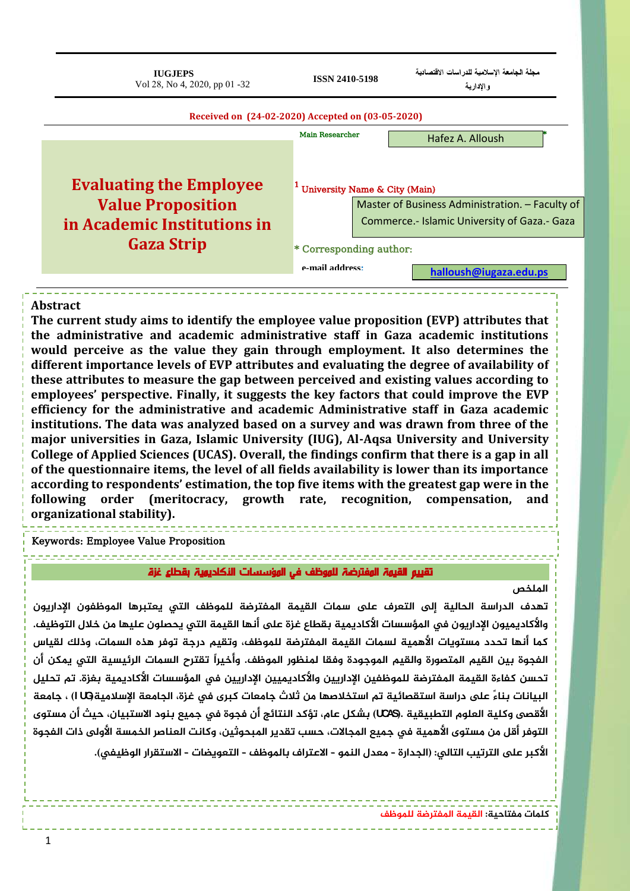| <b>IUGJEPS</b><br>Vol 28, No 4, 2020, pp 01 -32   | <b>ISSN 2410-5198</b>                      | مجلة الجامعة الإسلامية للدراسات الاقتصادية<br>والإدارية |  |  |  |
|---------------------------------------------------|--------------------------------------------|---------------------------------------------------------|--|--|--|
| Received on (24-02-2020) Accepted on (03-05-2020) |                                            |                                                         |  |  |  |
|                                                   | <b>Main Researcher</b><br>Hafez A. Alloush |                                                         |  |  |  |
| <b>Evaluating the Employee</b>                    | <sup>1</sup> University Name & City (Main) |                                                         |  |  |  |
| <b>Value Proposition</b>                          |                                            | Master of Business Administration. - Faculty of         |  |  |  |
| in Academic Institutions in                       |                                            | Commerce.- Islamic University of Gaza.- Gaza            |  |  |  |
| <b>Gaza Strip</b>                                 | * Corresponding author:                    |                                                         |  |  |  |
|                                                   | e-mail address.                            | halloush@iugaza.edu.ps                                  |  |  |  |

#### **Abstract**

**The current study aims to identify the employee value proposition (EVP) attributes that the administrative and academic administrative staff in Gaza academic institutions would perceive as the value they gain through employment. It also determines the different importance levels of EVP attributes and evaluating the degree of availability of these attributes to measure the gap between perceived and existing values according to employees' perspective. Finally, it suggests the key factors that could improve the EVP efficiency for the administrative and academic Administrative staff in Gaza academic institutions. The data was analyzed based on a survey and was drawn from three of the major universities in Gaza, Islamic University (IUG), Al-Aqsa University and University College of Applied Sciences (UCAS). Overall, the findings confirm that there is a gap in all of the questionnaire items, the level of all fields availability is lower than its importance according to respondents' estimation, the top five items with the greatest gap were in the following order (meritocracy, growth rate, recognition, compensation, and organizational stability).**

#### Keywords: Employee Value Proposition

,,,,,,,,,,,,,,,,,,,,,,,,,, تقييم القيهة المفترضة للموظف في المؤسسات النكاديمية بقطاع غزة

#### **املنخص**

**جهدف امدراسة امحامية إمى امحػرف ىلع سىات امقيىة املفحرضة منىوظف امحي ىػحترها املوظفون اإلدارىون هاألكادىىيون اإلدارىون يف املؤسسات األكادىىية ةقطاع غزةىلعأًها امقيىة امحي ىحطنون غنيها وي خالل امحوظيف. كىا أًها جحدد وسحوىات األهىية مسىات امقيىة املفحرضة منىوظف، هجقيه درجة جوفر هذٍ امسىات، هذمك مقياس امفجوة ةيي امقيه املحطورة هامقيه املوجودة هفقا ملٌظور املوظف. هأخيراً جقحرح امسىات امرئيسية امحي ىىكي أن جحسي كفاءة امقيىة املفحرضة منىوظفيي اإلدارىيي هاألكادىىييي اإلدارىيي يف املؤسسات األكادىىية ةغزة. جه جحنيل** البيانات بناءً على دراسة استقصائية تم استخلاصها من ثلاث جامعات كبرى في غزة، الجامعة الإسلاميةUG ) ، جامعة الأقصى وكلية العلوم التطبيقية .����) بشكل عام، تؤكد النتائج أن فجوة في جميع بنود الاستبيان، حيث أن مستوى **امحوفر أقل وي وسحوى األهىية يف جىيع املجاالت، حسب جقدىر املتحوديي، هكاًث امػٌاضر امخىسة األهمى ذات امفجوة**

الأكبر على الترتيب التالي: (الجدارة - معدل النمو - الاعتراف بالموظف - التعويضات - الاستقرار الوظيفي).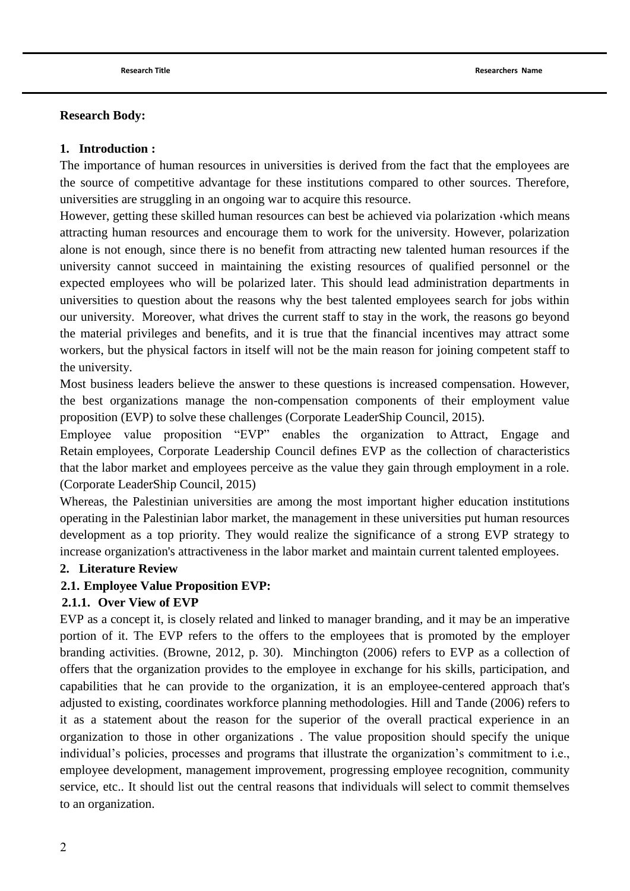### **Research Body:**

### **1. Introduction :**

The importance of human resources in universities is derived from the fact that the employees are the source of competitive advantage for these institutions compared to other sources. Therefore, universities are struggling in an ongoing war to acquire this resource.

However, getting these skilled human resources can best be achieved via polarization which means attracting human resources and encourage them to work for the university. However, polarization alone is not enough, since there is no benefit from attracting new talented human resources if the university cannot succeed in maintaining the existing resources of qualified personnel or the expected employees who will be polarized later. This should lead administration departments in universities to question about the reasons why the best talented employees search for jobs within our university. Moreover, what drives the current staff to stay in the work, the reasons go beyond the material privileges and benefits, and it is true that the financial incentives may attract some workers, but the physical factors in itself will not be the main reason for joining competent staff to the university.

Most business leaders believe the answer to these questions is increased compensation. However, the best organizations manage the non-compensation components of their employment value proposition (EVP) to solve these challenges [\(Corporate LeaderShip Council, 2015\)](#page-30-0).

Employee value proposition "EVP" enables the organization to Attract, Engage and Retain employees, Corporate Leadership Council defines EVP as the collection of characteristics that the labor market and employees perceive as the value they gain through employment in a role. [\(Corporate LeaderShip Council, 2015\)](#page-30-0)

Whereas, the Palestinian universities are among the most important higher education institutions operating in the Palestinian labor market, the management in these universities put human resources development as a top priority. They would realize the significance of a strong EVP strategy to increase organization's attractiveness in the labor market and maintain current talented employees.

#### **2. Literature Review**

## **2.1. Employee Value Proposition EVP:**

#### **2.1.1. Over View of EVP**

EVP as a concept it, is closely related and linked to manager branding, and it may be an imperative portion of it. The EVP refers to the offers to the employees that is promoted by the employer branding activities. [\(Browne, 2012, p. 30\)](#page-30-1). [Minchington \(2006\)](#page-31-0) refers to EVP as a collection of offers that the organization provides to the employee in exchange for his skills, participation, and capabilities that he can provide to the organization, it is an employee-centered approach that's adjusted to existing, coordinates workforce planning methodologies. [Hill and Tande \(2006\)](#page-30-2) refers to it as a statement about the reason for the superior of the overall practical experience in an organization to those in other organizations . The value proposition should specify the unique individual's policies, processes and programs that illustrate the organization's commitment to i.e., employee development, management improvement, progressing employee recognition, community service, etc.. It should list out the central reasons that individuals will select to commit themselves to an organization.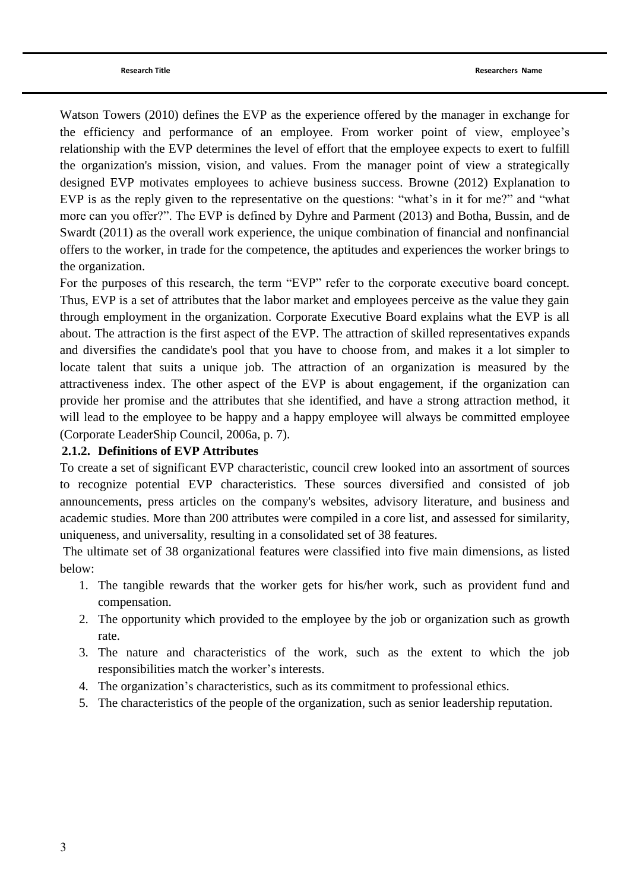[Watson Towers \(2010\)](#page-31-1) defines the EVP as the experience offered by the manager in exchange for the efficiency and performance of an employee. From worker point of view, employee"s relationship with the EVP determines the level of effort that the employee expects to exert to fulfill the organization's mission, vision, and values. From the manager point of view a strategically designed EVP motivates employees to achieve business success. [Browne \(2012\)](#page-30-1) Explanation to EVP is as the reply given to the representative on the questions: "what's in it for me?" and "what more can you offer?". The EVP is defined by [Dyhre and Parment \(2013\)](#page-30-3) and [Botha, Bussin, and de](#page-30-4)  Swardt (2011) as the overall work experience, the unique combination of financial and nonfinancial offers to the worker, in trade for the competence, the aptitudes and experiences the worker brings to the organization.

For the purposes of this research, the term "EVP" refer to the corporate executive board concept. Thus, EVP is a set of attributes that the labor market and employees perceive as the value they gain through employment in the organization. Corporate Executive Board explains what the EVP is all about. The attraction is the first aspect of the EVP. The attraction of skilled representatives expands and diversifies the candidate's pool that you have to choose from, and makes it a lot simpler to locate talent that suits a unique job. The attraction of an organization is measured by the attractiveness index. The other aspect of the EVP is about engagement, if the organization can provide her promise and the attributes that she identified, and have a strong attraction method, it will lead to the employee to be happy and a happy employee will always be committed employee [\(Corporate LeaderShip Council, 2006a, p. 7\)](#page-30-5).

### **2.1.2. Definitions of EVP Attributes**

To create a set of significant EVP characteristic, council crew looked into an assortment of sources to recognize potential EVP characteristics. These sources diversified and consisted of job announcements, press articles on the company's websites, advisory literature, and business and academic studies. More than 200 attributes were compiled in a core list, and assessed for similarity, uniqueness, and universality, resulting in a consolidated set of 38 features.

The ultimate set of 38 organizational features were classified into five main dimensions, as listed below:

- 1. The tangible rewards that the worker gets for his/her work, such as provident fund and compensation.
- 2. The opportunity which provided to the employee by the job or organization such as growth rate.
- 3. The nature and characteristics of the work, such as the extent to which the job responsibilities match the worker"s interests.
- 4. The organization"s characteristics, such as its commitment to professional ethics.
- 5. The characteristics of the people of the organization, such as senior leadership reputation.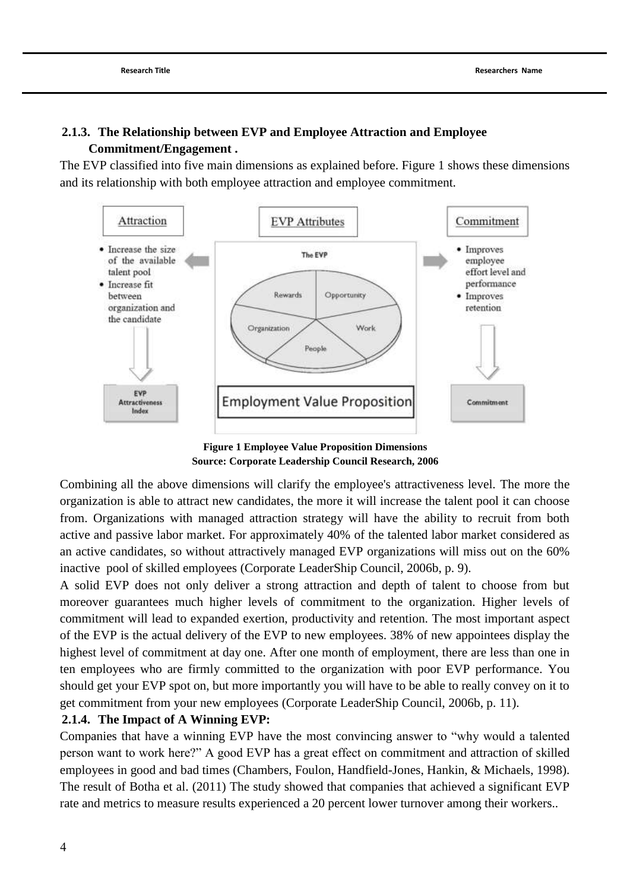# **2.1.3. The Relationship between EVP and Employee Attraction and Employee Commitment/Engagement .**

The EVP classified into five main dimensions as explained before. Figure 1 shows these dimensions and its relationship with both employee attraction and employee commitment.



**Figure 1 Employee Value Proposition Dimensions Source: Corporate Leadership Council Research, 2006**

Combining all the above dimensions will clarify the employee's attractiveness level. The more the organization is able to attract new candidates, the more it will increase the talent pool it can choose from. Organizations with managed attraction strategy will have the ability to recruit from both active and passive labor market. For approximately 40% of the talented labor market considered as an active candidates, so without attractively managed EVP organizations will miss out on the 60% inactive pool of skilled employees [\(Corporate LeaderShip Council, 2006b, p. 9\)](#page-30-6).

A solid EVP does not only deliver a strong attraction and depth of talent to choose from but moreover guarantees much higher levels of commitment to the organization. Higher levels of commitment will lead to expanded exertion, productivity and retention. The most important aspect of the EVP is the actual delivery of the EVP to new employees. 38% of new appointees display the highest level of commitment at day one. After one month of employment, there are less than one in ten employees who are firmly committed to the organization with poor EVP performance. You should get your EVP spot on, but more importantly you will have to be able to really convey on it to get commitment from your new employees [\(Corporate LeaderShip Council, 2006b, p. 11\)](#page-30-6).

## **2.1.4. The Impact of A Winning EVP:**

Companies that have a winning EVP have the most convincing answer to "why would a talented person want to work here?" A good EVP has a great effect on commitment and attraction of skilled employees in good and bad times [\(Chambers, Foulon, Handfield-Jones, Hankin, & Michaels, 1998\)](#page-30-7). The result of [Botha et al. \(2011\)](#page-30-4) The study showed that companies that achieved a significant EVP rate and metrics to measure results experienced a 20 percent lower turnover among their workers..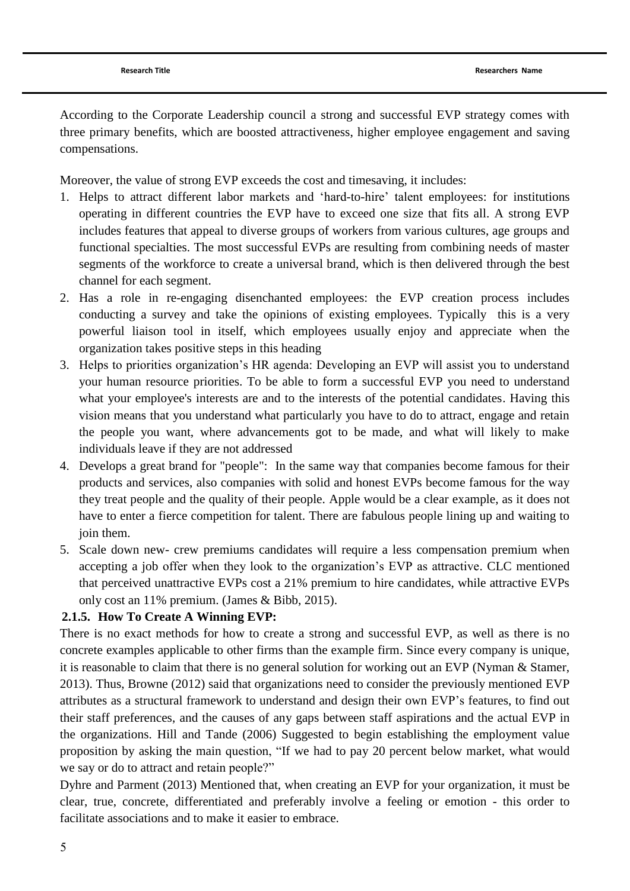According to the Corporate Leadership council a strong and successful EVP strategy comes with three primary benefits, which are boosted attractiveness, higher employee engagement and saving compensations.

Moreover, the value of strong EVP exceeds the cost and timesaving, it includes:

- 1. Helps to attract different labor markets and "hard-to-hire" talent employees: for institutions operating in different countries the EVP have to exceed one size that fits all. A strong EVP includes features that appeal to diverse groups of workers from various cultures, age groups and functional specialties. The most successful EVPs are resulting from combining needs of master segments of the workforce to create a universal brand, which is then delivered through the best channel for each segment.
- 2. Has a role in re-engaging disenchanted employees: the EVP creation process includes conducting a survey and take the opinions of existing employees. Typically this is a very powerful liaison tool in itself, which employees usually enjoy and appreciate when the organization takes positive steps in this heading
- 3. Helps to priorities organization"s HR agenda: Developing an EVP will assist you to understand your human resource priorities. To be able to form a successful EVP you need to understand what your employee's interests are and to the interests of the potential candidates. Having this vision means that you understand what particularly you have to do to attract, engage and retain the people you want, where advancements got to be made, and what will likely to make individuals leave if they are not addressed
- 4. Develops a great brand for "people": In the same way that companies become famous for their products and services, also companies with solid and honest EVPs become famous for the way they treat people and the quality of their people. Apple would be a clear example, as it does not have to enter a fierce competition for talent. There are fabulous people lining up and waiting to join them.
- 5. Scale down new- crew premiums candidates will require a less compensation premium when accepting a job offer when they look to the organization"s EVP as attractive. CLC mentioned that perceived unattractive EVPs cost a 21% premium to hire candidates, while attractive EVPs only cost an 11% premium. [\(James & Bibb, 2015\)](#page-30-8).

## **2.1.5. How To Create A Winning EVP:**

There is no exact methods for how to create a strong and successful EVP, as well as there is no concrete examples applicable to other firms than the example firm. Since every company is unique, it is reasonable to claim that there is no general solution for working out an EVP [\(Nyman & Stamer,](#page-31-2)  [2013\)](#page-31-2). Thus, [Browne \(2012\)](#page-30-1) said that organizations need to consider the previously mentioned EVP attributes as a structural framework to understand and design their own EVP"s features, to find out their staff preferences, and the causes of any gaps between staff aspirations and the actual EVP in the organizations. [Hill and Tande \(2006\)](#page-30-2) Suggested to begin establishing the employment value proposition by asking the main question, "If we had to pay 20 percent below market, what would we say or do to attract and retain people?"

[Dyhre and Parment \(2013\)](#page-30-3) Mentioned that, when creating an EVP for your organization, it must be clear, true, concrete, differentiated and preferably involve a feeling or emotion - this order to facilitate associations and to make it easier to embrace.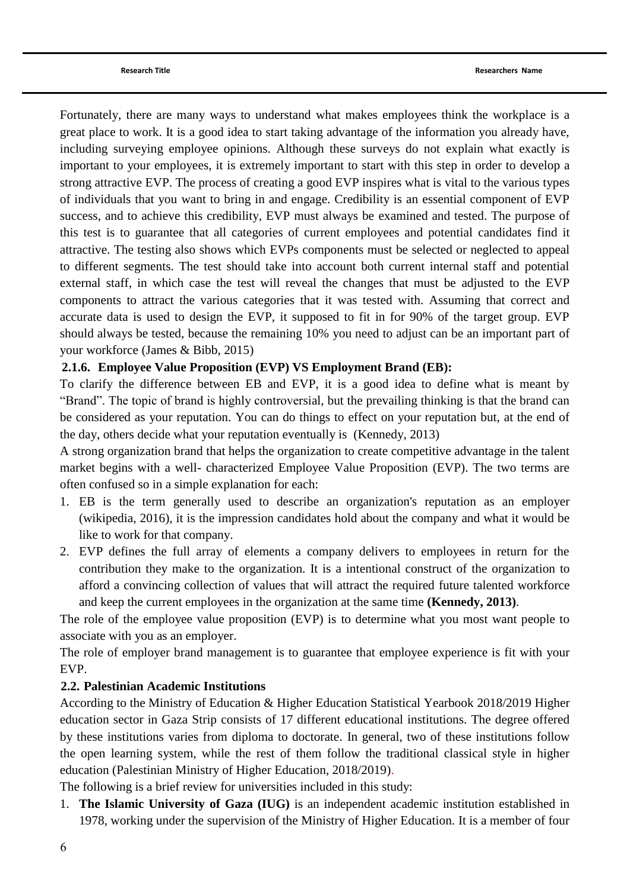Fortunately, there are many ways to understand what makes employees think the workplace is a great place to work. It is a good idea to start taking advantage of the information you already have, including surveying employee opinions. Although these surveys do not explain what exactly is important to your employees, it is extremely important to start with this step in order to develop a strong attractive EVP. The process of creating a good EVP inspires what is vital to the various types of individuals that you want to bring in and engage. Credibility is an essential component of EVP success, and to achieve this credibility, EVP must always be examined and tested. The purpose of this test is to guarantee that all categories of current employees and potential candidates find it attractive. The testing also shows which EVPs components must be selected or neglected to appeal to different segments. The test should take into account both current internal staff and potential external staff, in which case the test will reveal the changes that must be adjusted to the EVP components to attract the various categories that it was tested with. Assuming that correct and accurate data is used to design the EVP, it supposed to fit in for 90% of the target group. EVP should always be tested, because the remaining 10% you need to adjust can be an important part of your workforce [\(James & Bibb, 2015\)](#page-30-8)

## **2.1.6. Employee Value Proposition (EVP) VS Employment Brand (EB):**

To clarify the difference between EB and EVP, it is a good idea to define what is meant by "Brand". The topic of brand is highly controversial, but the prevailing thinking is that the brand can be considered as your reputation. You can do things to effect on your reputation but, at the end of the day, others decide what your reputation eventually is [\(Kennedy, 2013\)](#page-31-3)

A strong organization brand that helps the organization to create competitive advantage in the talent market begins with a well- characterized Employee Value Proposition (EVP). The two terms are often confused so in a simple explanation for each:

- 1. EB is the term generally used to describe an organization's reputation as an employer [\(wikipedia, 2016\)](#page-31-4), it is the impression candidates hold about the company and what it would be like to work for that company.
- 2. EVP defines the full array of elements a company delivers to employees in return for the contribution they make to the organization. It is a intentional construct of the organization to afford a convincing collection of values that will attract the required future talented workforce and keep the current employees in the organization at the same time **[\(Kennedy, 2013\)](#page-31-3)**.

The role of the employee value proposition (EVP) is to determine what you most want people to associate with you as an employer.

The role of employer brand management is to guarantee that employee experience is fit with your EVP.

## **2.2. Palestinian Academic Institutions**

According to the Ministry of Education & Higher Education Statistical Yearbook 2018/2019 Higher education sector in Gaza Strip consists of 17 different educational institutions. The degree offered by these institutions varies from diploma to doctorate. In general, two of these institutions follow the open learning system, while the rest of them follow the traditional classical style in higher education [\(Palestinian Ministry of Higher Education, 2018/2019\)](#page-31-5).

The following is a brief review for universities included in this study:

1. **The Islamic University of Gaza (IUG)** is an independent academic institution established in 1978, working under the supervision of the Ministry of Higher Education. It is a member of four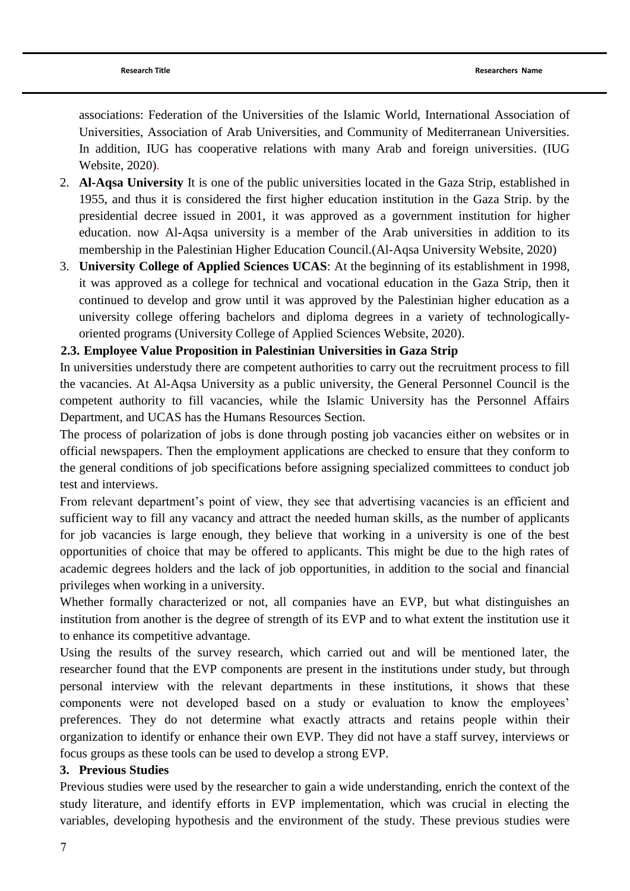associations: Federation of the Universities of the Islamic World, International Association of Universities, Association of Arab Universities, and Community of Mediterranean Universities. In addition, IUG has cooperative relations with many Arab and foreign universities. [\(IUG](#page-30-9)  [Website, 2020\)](#page-30-9).

- 2. **Al-Aqsa University** It is one of the public universities located in the Gaza Strip, established in 1955, and thus it is considered the first higher education institution in the Gaza Strip. by the presidential decree issued in 2001, it was approved as a government institution for higher education. now Al-Aqsa university is a member of the Arab universities in addition to its membership in the Palestinian Higher Education Council.[\(Al-Aqsa University Website, 2020\)](#page-30-10)
- 3. **University College of Applied Sciences UCAS**: At the beginning of its establishment in 1998, it was approved as a college for technical and vocational education in the Gaza Strip, then it continued to develop and grow until it was approved by the Palestinian higher education as a university college offering bachelors and diploma degrees in a variety of technologicallyoriented programs [\(University College of Applied Sciences Website, 2020\)](#page-31-6).

# **2.3. Employee Value Proposition in Palestinian Universities in Gaza Strip**

In universities understudy there are competent authorities to carry out the recruitment process to fill the vacancies. At Al-Aqsa University as a public university, the General Personnel Council is the competent authority to fill vacancies, while the Islamic University has the Personnel Affairs Department, and UCAS has the Humans Resources Section.

The process of polarization of jobs is done through posting job vacancies either on websites or in official newspapers. Then the employment applications are checked to ensure that they conform to the general conditions of job specifications before assigning specialized committees to conduct job test and interviews.

From relevant department's point of view, they see that advertising vacancies is an efficient and sufficient way to fill any vacancy and attract the needed human skills, as the number of applicants for job vacancies is large enough, they believe that working in a university is one of the best opportunities of choice that may be offered to applicants. This might be due to the high rates of academic degrees holders and the lack of job opportunities, in addition to the social and financial privileges when working in a university.

Whether formally characterized or not, all companies have an EVP, but what distinguishes an institution from another is the degree of strength of its EVP and to what extent the institution use it to enhance its competitive advantage.

Using the results of the survey research, which carried out and will be mentioned later, the researcher found that the EVP components are present in the institutions under study, but through personal interview with the relevant departments in these institutions, it shows that these components were not developed based on a study or evaluation to know the employees' preferences. They do not determine what exactly attracts and retains people within their organization to identify or enhance their own EVP. They did not have a staff survey, interviews or focus groups as these tools can be used to develop a strong EVP.

## **3. Previous Studies**

Previous studies were used by the researcher to gain a wide understanding, enrich the context of the study literature, and identify efforts in EVP implementation, which was crucial in electing the variables, developing hypothesis and the environment of the study. These previous studies were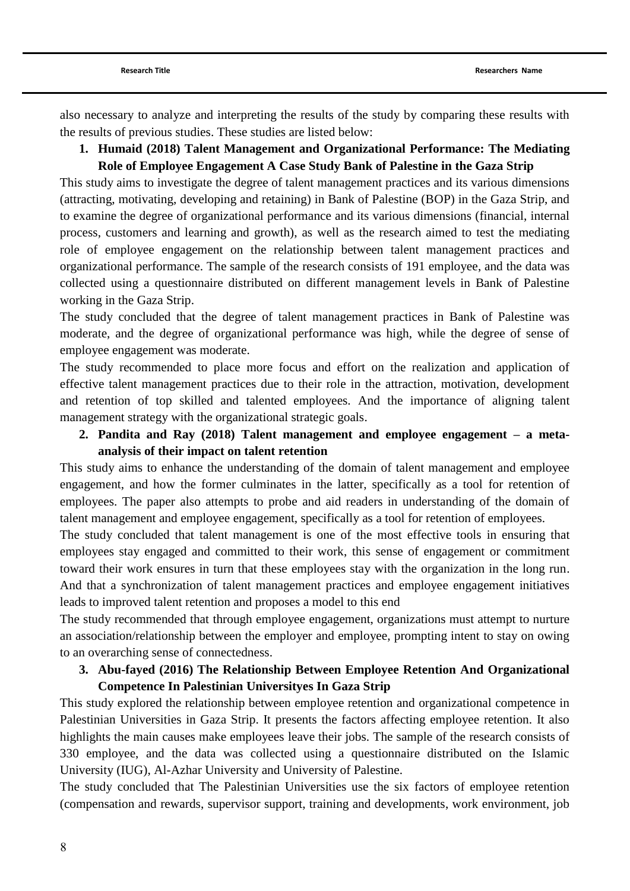also necessary to analyze and interpreting the results of the study by comparing these results with the results of previous studies. These studies are listed below:

**1. [Humaid \(2018\)](#page-30-11) Talent Management and Organizational Performance: The Mediating Role of Employee Engagement A Case Study Bank of Palestine in the Gaza Strip**

This study aims to investigate the degree of talent management practices and its various dimensions (attracting, motivating, developing and retaining) in Bank of Palestine (BOP) in the Gaza Strip, and to examine the degree of organizational performance and its various dimensions (financial, internal process, customers and learning and growth), as well as the research aimed to test the mediating role of employee engagement on the relationship between talent management practices and organizational performance. The sample of the research consists of 191 employee, and the data was collected using a questionnaire distributed on different management levels in Bank of Palestine working in the Gaza Strip.

The study concluded that the degree of talent management practices in Bank of Palestine was moderate, and the degree of organizational performance was high, while the degree of sense of employee engagement was moderate.

The study recommended to place more focus and effort on the realization and application of effective talent management practices due to their role in the attraction, motivation, development and retention of top skilled and talented employees. And the importance of aligning talent management strategy with the organizational strategic goals.

**2. [Pandita and Ray \(2018\)](#page-31-7) Talent management and employee engagement – a metaanalysis of their impact on talent retention**

This study aims to enhance the understanding of the domain of talent management and employee engagement, and how the former culminates in the latter, specifically as a tool for retention of employees. The paper also attempts to probe and aid readers in understanding of the domain of talent management and employee engagement, specifically as a tool for retention of employees.

The study concluded that talent management is one of the most effective tools in ensuring that employees stay engaged and committed to their work, this sense of engagement or commitment toward their work ensures in turn that these employees stay with the organization in the long run. And that a synchronization of talent management practices and employee engagement initiatives leads to improved talent retention and proposes a model to this end

The study recommended that through employee engagement, organizations must attempt to nurture an association/relationship between the employer and employee, prompting intent to stay on owing to an overarching sense of connectedness.

# **3. [Abu-fayed \(2016\)](#page-30-12) The Relationship Between Employee Retention And Organizational Competence In Palestinian Universityes In Gaza Strip**

This study explored the relationship between employee retention and organizational competence in Palestinian Universities in Gaza Strip. It presents the factors affecting employee retention. It also highlights the main causes make employees leave their jobs. The sample of the research consists of 330 employee, and the data was collected using a questionnaire distributed on the Islamic University (IUG), Al-Azhar University and University of Palestine.

The study concluded that The Palestinian Universities use the six factors of employee retention (compensation and rewards, supervisor support, training and developments, work environment, job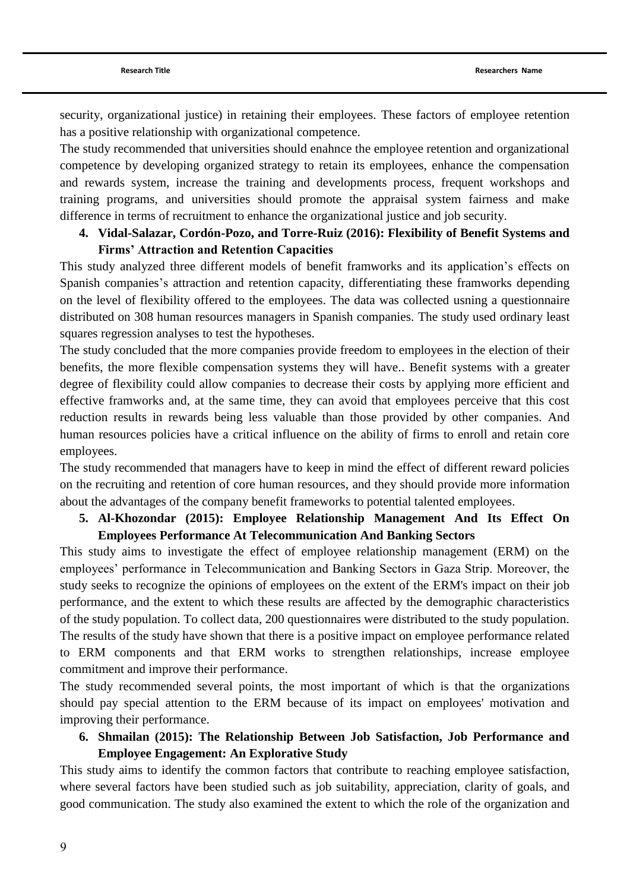security, organizational justice) in retaining their employees. These factors of employee retention has a positive relationship with organizational competence.

The study recommended that universities should enahnce the employee retention and organizational competence by developing organized strategy to retain its employees, enhance the compensation and rewards system, increase the training and developments process, frequent workshops and training programs, and universities should promote the appraisal system fairness and make difference in terms of recruitment to enhance the organizational justice and job security.

## **4. [Vidal-Salazar, Cordón-Pozo,](#page-31-8) and Torre-Ruiz (2016): Flexibility of Benefit Systems and Firms' Attraction and Retention Capacities**

This study analyzed three different models of benefit framworks and its application"s effects on Spanish companies's attraction and retention capacity, differentiating these framworks depending on the level of flexibility offered to the employees. The data was collected usning a questionnaire distributed on 308 human resources managers in Spanish companies. The study used ordinary least squares regression analyses to test the hypotheses.

The study concluded that the more companies provide freedom to employees in the election of their benefits, the more flexible compensation systems they will have.. Benefit systems with a greater degree of flexibility could allow companies to decrease their costs by applying more efficient and effective framworks and, at the same time, they can avoid that employees perceive that this cost reduction results in rewards being less valuable than those provided by other companies. And human resources policies have a critical influence on the ability of firms to enroll and retain core employees.

The study recommended that managers have to keep in mind the effect of different reward policies on the recruiting and retention of core human resources, and they should provide more information about the advantages of the company benefit frameworks to potential talented employees.

## **5. [Al-Khozondar \(2015\):](#page-30-13) Employee Relationship Management And Its Effect On Employees Performance At Telecommunication And Banking Sectors**

This study aims to investigate the effect of employee relationship management (ERM) on the employees" performance in Telecommunication and Banking Sectors in Gaza Strip. Moreover, the study seeks to recognize the opinions of employees on the extent of the ERM's impact on their job performance, and the extent to which these results are affected by the demographic characteristics of the study population. To collect data, 200 questionnaires were distributed to the study population. The results of the study have shown that there is a positive impact on employee performance related to ERM components and that ERM works to strengthen relationships, increase employee commitment and improve their performance.

The study recommended several points, the most important of which is that the organizations should pay special attention to the ERM because of its impact on employees' motivation and improving their performance.

**6. [Shmailan \(2015\):](#page-31-9) The Relationship Between Job Satisfaction, Job Performance and Employee Engagement: An Explorative Study**

This study aims to identify the common factors that contribute to reaching employee satisfaction, where several factors have been studied such as job suitability, appreciation, clarity of goals, and good communication. The study also examined the extent to which the role of the organization and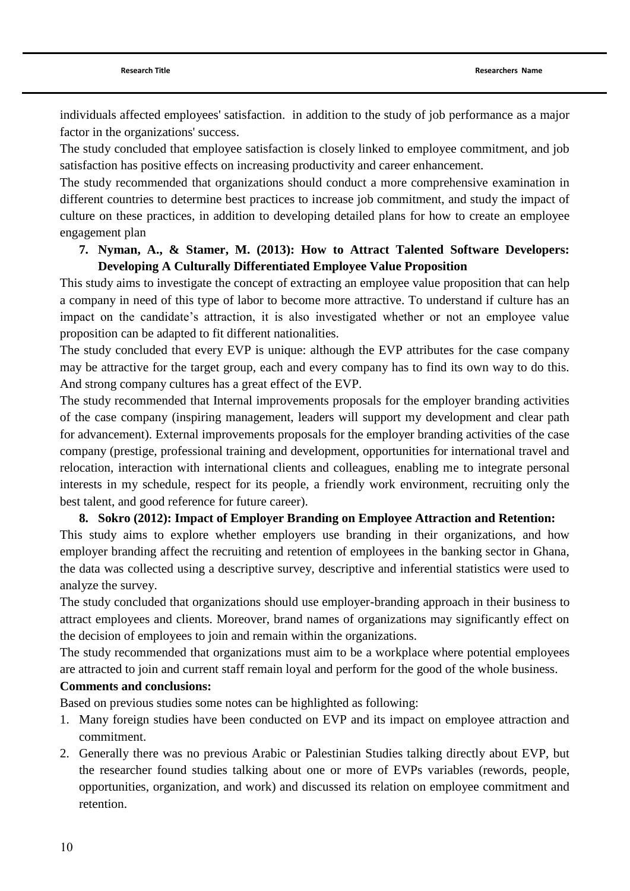individuals affected employees' satisfaction. in addition to the study of job performance as a major factor in the organizations' success.

The study concluded that employee satisfaction is closely linked to employee commitment, and job satisfaction has positive effects on increasing productivity and career enhancement.

The study recommended that organizations should conduct a more comprehensive examination in different countries to determine best practices to increase job commitment, and study the impact of culture on these practices, in addition to developing detailed plans for how to create an employee engagement plan

## **7. Nyman, A., & Stamer, M. (2013): How to Attract Talented Software Developers: Developing A Culturally Differentiated Employee Value Proposition**

This study aims to investigate the concept of extracting an employee value proposition that can help a company in need of this type of labor to become more attractive. To understand if culture has an impact on the candidate"s attraction, it is also investigated whether or not an employee value proposition can be adapted to fit different nationalities.

The study concluded that every EVP is unique: although the EVP attributes for the case company may be attractive for the target group, each and every company has to find its own way to do this. And strong company cultures has a great effect of the EVP.

The study recommended that Internal improvements proposals for the employer branding activities of the case company (inspiring management, leaders will support my development and clear path for advancement). External improvements proposals for the employer branding activities of the case company (prestige, professional training and development, opportunities for international travel and relocation, interaction with international clients and colleagues, enabling me to integrate personal interests in my schedule, respect for its people, a friendly work environment, recruiting only the best talent, and good reference for future career).

**8. [Sokro \(2012\):](#page-31-0) Impact of Employer Branding on Employee Attraction and Retention:**  This study aims to explore whether employers use branding in their organizations, and how employer branding affect the recruiting and retention of employees in the banking sector in Ghana, the data was collected using a descriptive survey, descriptive and inferential statistics were used to analyze the survey.

The study concluded that organizations should use employer-branding approach in their business to attract employees and clients. Moreover, brand names of organizations may significantly effect on the decision of employees to join and remain within the organizations.

The study recommended that organizations must aim to be a workplace where potential employees are attracted to join and current staff remain loyal and perform for the good of the whole business.

## **Comments and conclusions:**

Based on previous studies some notes can be highlighted as following:

- 1. Many foreign studies have been conducted on EVP and its impact on employee attraction and commitment.
- 2. Generally there was no previous Arabic or Palestinian Studies talking directly about EVP, but the researcher found studies talking about one or more of EVPs variables (rewords, people, opportunities, organization, and work) and discussed its relation on employee commitment and retention.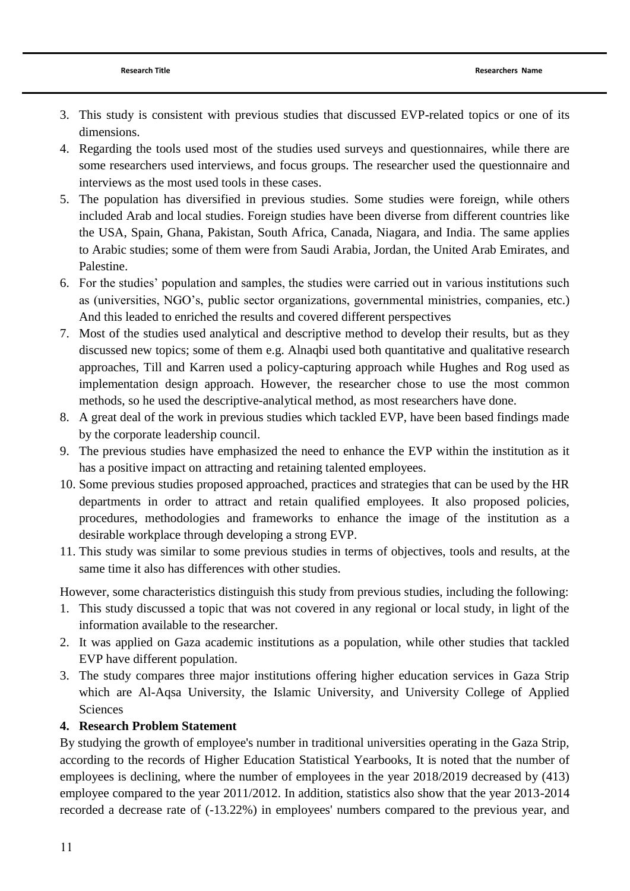- 3. This study is consistent with previous studies that discussed EVP-related topics or one of its dimensions.
- 4. Regarding the tools used most of the studies used surveys and questionnaires, while there are some researchers used interviews, and focus groups. The researcher used the questionnaire and interviews as the most used tools in these cases.
- 5. The population has diversified in previous studies. Some studies were foreign, while others included Arab and local studies. Foreign studies have been diverse from different countries like the USA, Spain, Ghana, Pakistan, South Africa, Canada, Niagara, and India. The same applies to Arabic studies; some of them were from Saudi Arabia, Jordan, the United Arab Emirates, and Palestine.
- 6. For the studies" population and samples, the studies were carried out in various institutions such as (universities, NGO"s, public sector organizations, governmental ministries, companies, etc.) And this leaded to enriched the results and covered different perspectives
- 7. Most of the studies used analytical and descriptive method to develop their results, but as they discussed new topics; some of them e.g. Alnaqbi used both quantitative and qualitative research approaches, Till and Karren used a policy-capturing approach while Hughes and Rog used as implementation design approach. However, the researcher chose to use the most common methods, so he used the descriptive-analytical method, as most researchers have done.
- 8. A great deal of the work in previous studies which tackled EVP, have been based findings made by the corporate leadership council.
- 9. The previous studies have emphasized the need to enhance the EVP within the institution as it has a positive impact on attracting and retaining talented employees.
- 10. Some previous studies proposed approached, practices and strategies that can be used by the HR departments in order to attract and retain qualified employees. It also proposed policies, procedures, methodologies and frameworks to enhance the image of the institution as a desirable workplace through developing a strong EVP.
- 11. This study was similar to some previous studies in terms of objectives, tools and results, at the same time it also has differences with other studies.

However, some characteristics distinguish this study from previous studies, including the following:

- 1. This study discussed a topic that was not covered in any regional or local study, in light of the information available to the researcher.
- 2. It was applied on Gaza academic institutions as a population, while other studies that tackled EVP have different population.
- 3. The study compares three major institutions offering higher education services in Gaza Strip which are Al-Aqsa University, the Islamic University, and University College of Applied Sciences

# **4. Research Problem Statement**

By studying the growth of employee's number in traditional universities operating in the Gaza Strip, according to the records of Higher Education Statistical Yearbooks, It is noted that the number of employees is declining, where the number of employees in the year 2018/2019 decreased by (413) employee compared to the year 2011/2012. In addition, statistics also show that the year 2013-2014 recorded a decrease rate of (-13.22%) in employees' numbers compared to the previous year, and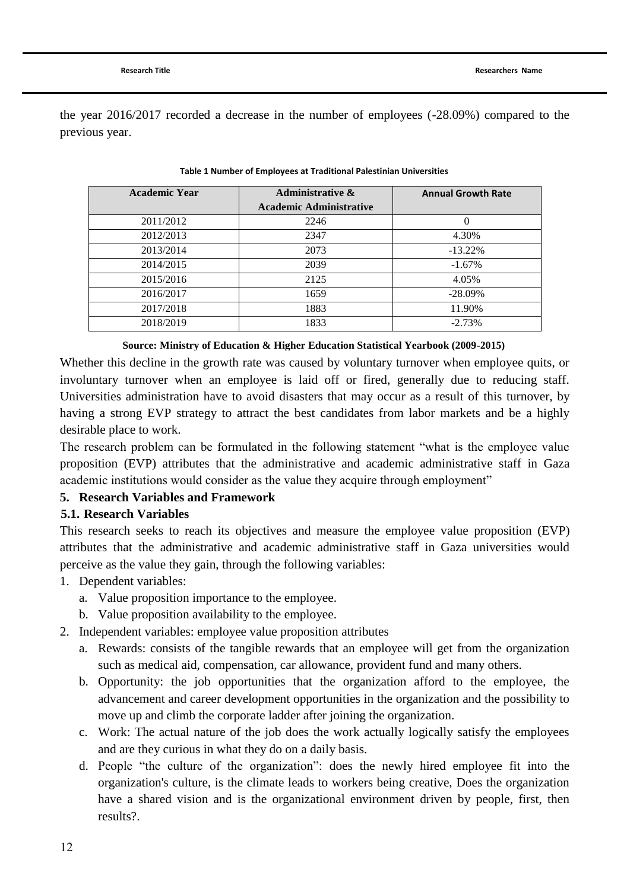the year 2016/2017 recorded a decrease in the number of employees (-28.09%) compared to the previous year.

| <b>Academic Year</b> | <b>Administrative &amp;</b>    | <b>Annual Growth Rate</b> |
|----------------------|--------------------------------|---------------------------|
|                      | <b>Academic Administrative</b> |                           |
| 2011/2012            | 2246                           | $\overline{0}$            |
| 2012/2013            | 2347                           | 4.30%                     |
| 2013/2014            | 2073                           | $-13.22\%$                |
| 2014/2015            | 2039                           | $-1.67\%$                 |
| 2015/2016            | 2125                           | 4.05%                     |
| 2016/2017            | 1659                           | $-28.09\%$                |
| 2017/2018            | 1883                           | 11.90%                    |
| 2018/2019            | 1833                           | $-2.73%$                  |
|                      |                                |                           |

#### **Table 1 Number of Employees at Traditional Palestinian Universities**

**Source: Ministry of Education & [Higher Education Statistical Yearbook \(2009-2015\)](#page-31-10)**

Whether this decline in the growth rate was caused by voluntary turnover when employee quits, or involuntary turnover when an employee is laid off or fired, generally due to reducing staff. Universities administration have to avoid disasters that may occur as a result of this turnover, by having a strong EVP strategy to attract the best candidates from labor markets and be a highly desirable place to work.

The research problem can be formulated in the following statement "what is the employee value proposition (EVP) attributes that the administrative and academic administrative staff in Gaza academic institutions would consider as the value they acquire through employment"

## **5. Research Variables and Framework**

#### **5.1. Research Variables**

This research seeks to reach its objectives and measure the employee value proposition (EVP) attributes that the administrative and academic administrative staff in Gaza universities would perceive as the value they gain, through the following variables:

- 1. Dependent variables:
	- a. Value proposition importance to the employee.
	- b. Value proposition availability to the employee.
- 2. Independent variables: employee value proposition attributes
	- a. Rewards: consists of the tangible rewards that an employee will get from the organization such as medical aid, compensation, car allowance, provident fund and many others.
	- b. Opportunity: the job opportunities that the organization afford to the employee, the advancement and career development opportunities in the organization and the possibility to move up and climb the corporate ladder after joining the organization.
	- c. Work: The actual nature of the job does the work actually logically satisfy the employees and are they curious in what they do on a daily basis.
	- d. People "the culture of the organization": does the newly hired employee fit into the organization's culture, is the climate leads to workers being creative, Does the organization have a shared vision and is the organizational environment driven by people, first, then results?.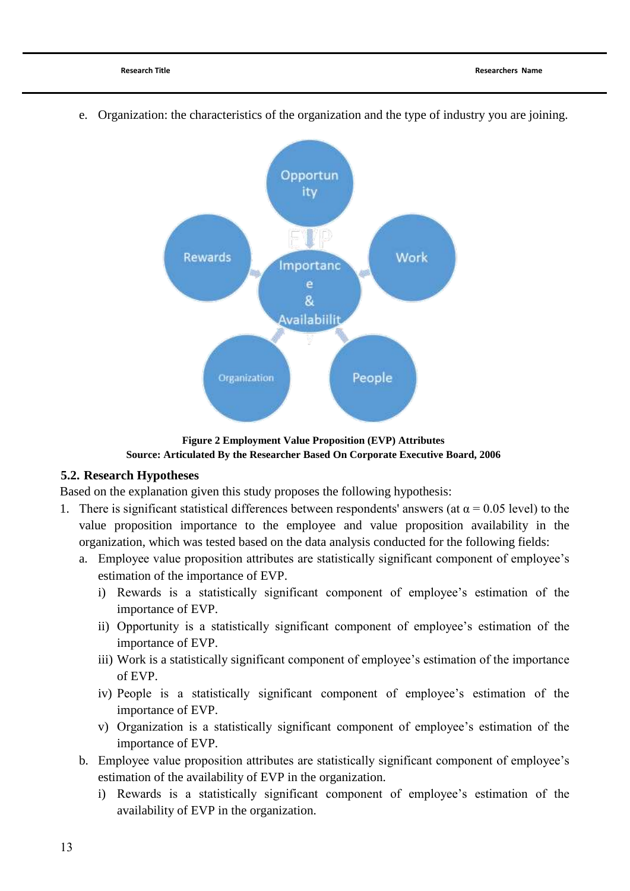

e. Organization: the characteristics of the organization and the type of industry you are joining.

**Figure 2 Employment Value Proposition (EVP) Attributes Source: Articulated By the Researcher Based On Corporate Executive Board, 2006**

## **5.2. Research Hypotheses**

Based on the explanation given this study proposes the following hypothesis:

- 1. There is significant statistical differences between respondents' answers (at  $\alpha$  = 0.05 level) to the value proposition importance to the employee and value proposition availability in the organization, which was tested based on the data analysis conducted for the following fields:
	- a. Employee value proposition attributes are statistically significant component of employee"s estimation of the importance of EVP.
		- i) Rewards is a statistically significant component of employee's estimation of the importance of EVP.
		- ii) Opportunity is a statistically significant component of employee's estimation of the importance of EVP.
		- iii) Work is a statistically significant component of employee's estimation of the importance of EVP.
		- iv) People is a statistically significant component of employee"s estimation of the importance of EVP.
		- v) Organization is a statistically significant component of employee's estimation of the importance of EVP.
	- b. Employee value proposition attributes are statistically significant component of employee's estimation of the availability of EVP in the organization.
		- i) Rewards is a statistically significant component of employee's estimation of the availability of EVP in the organization.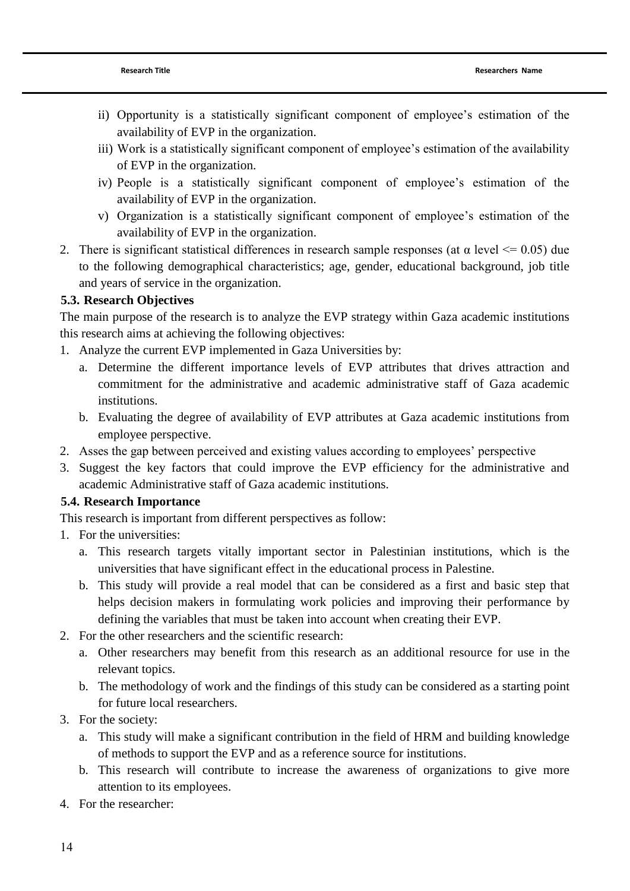- ii) Opportunity is a statistically significant component of employee's estimation of the availability of EVP in the organization.
- iii) Work is a statistically significant component of employee's estimation of the availability of EVP in the organization.
- iv) People is a statistically significant component of employee"s estimation of the availability of EVP in the organization.
- v) Organization is a statistically significant component of employee's estimation of the availability of EVP in the organization.
- 2. There is significant statistical differences in research sample responses (at  $\alpha$  level  $\leq$  0.05) due to the following demographical characteristics; age, gender, educational background, job title and years of service in the organization.

# **5.3. Research Objectives**

The main purpose of the research is to analyze the EVP strategy within Gaza academic institutions this research aims at achieving the following objectives:

- 1. Analyze the current EVP implemented in Gaza Universities by:
	- a. Determine the different importance levels of EVP attributes that drives attraction and commitment for the administrative and academic administrative staff of Gaza academic institutions.
	- b. Evaluating the degree of availability of EVP attributes at Gaza academic institutions from employee perspective.
- 2. Asses the gap between perceived and existing values according to employees" perspective
- 3. Suggest the key factors that could improve the EVP efficiency for the administrative and academic Administrative staff of Gaza academic institutions.

# **5.4. Research Importance**

This research is important from different perspectives as follow:

- 1. For the universities:
	- a. This research targets vitally important sector in Palestinian institutions, which is the universities that have significant effect in the educational process in Palestine.
	- b. This study will provide a real model that can be considered as a first and basic step that helps decision makers in formulating work policies and improving their performance by defining the variables that must be taken into account when creating their EVP.
- 2. For the other researchers and the scientific research:
	- a. Other researchers may benefit from this research as an additional resource for use in the relevant topics.
	- b. The methodology of work and the findings of this study can be considered as a starting point for future local researchers.
- 3. For the society:
	- a. This study will make a significant contribution in the field of HRM and building knowledge of methods to support the EVP and as a reference source for institutions.
	- b. This research will contribute to increase the awareness of organizations to give more attention to its employees.
- 4. For the researcher: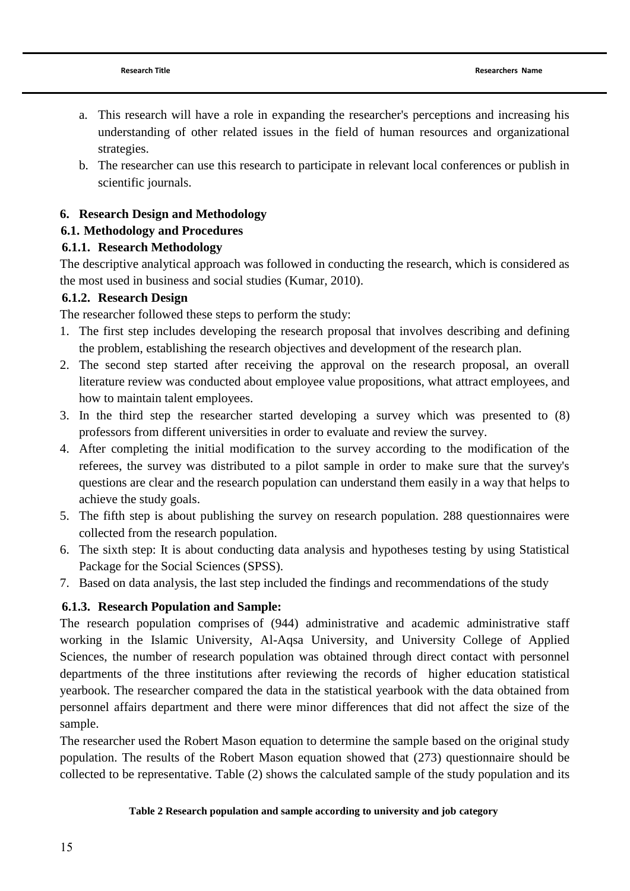- a. This research will have a role in expanding the researcher's perceptions and increasing his understanding of other related issues in the field of human resources and organizational strategies.
- b. The researcher can use this research to participate in relevant local conferences or publish in scientific journals.

## **6. Research Design and Methodology**

## **6.1. Methodology and Procedures**

# **6.1.1. Research Methodology**

The descriptive analytical approach was followed in conducting the research, which is considered as the most used in business and social studies [\(Kumar, 2010\)](#page-31-11).

# **6.1.2. Research Design**

The researcher followed these steps to perform the study:

- 1. The first step includes developing the research proposal that involves describing and defining the problem, establishing the research objectives and development of the research plan.
- 2. The second step started after receiving the approval on the research proposal, an overall literature review was conducted about employee value propositions, what attract employees, and how to maintain talent employees.
- 3. In the third step the researcher started developing a survey which was presented to (8) professors from different universities in order to evaluate and review the survey.
- 4. After completing the initial modification to the survey according to the modification of the referees, the survey was distributed to a pilot sample in order to make sure that the survey's questions are clear and the research population can understand them easily in a way that helps to achieve the study goals.
- 5. The fifth step is about publishing the survey on research population. 288 questionnaires were collected from the research population.
- 6. The sixth step: It is about conducting data analysis and hypotheses testing by using Statistical Package for the Social Sciences (SPSS).
- 7. Based on data analysis, the last step included the findings and recommendations of the study

# **6.1.3. Research Population and Sample:**

The research population comprises of (944) administrative and academic administrative staff working in the Islamic University, Al-Aqsa University, and University College of Applied Sciences, the number of research population was obtained through direct contact with personnel departments of the three institutions after reviewing the records of higher education statistical yearbook. The researcher compared the data in the statistical yearbook with the data obtained from personnel affairs department and there were minor differences that did not affect the size of the sample.

The researcher used the Robert Mason equation to determine the sample based on the original study population. The results of the Robert Mason equation showed that (273) questionnaire should be collected to be representative. Table (2) shows the calculated sample of the study population and its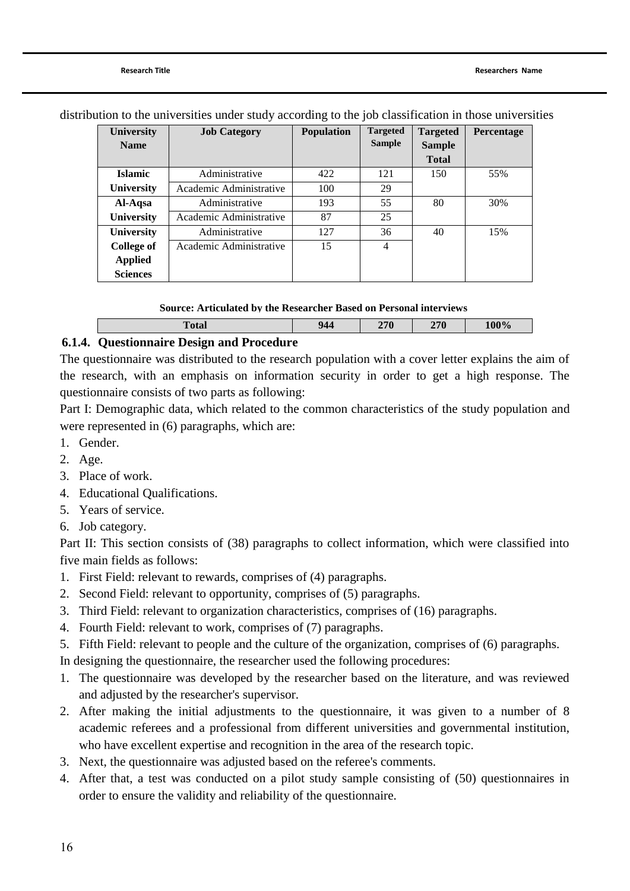| <b>University</b><br><b>Name</b> | <b>Job Category</b>     | <b>Population</b> | <b>Targeted</b><br><b>Sample</b> | <b>Targeted</b><br><b>Sample</b> | Percentage |
|----------------------------------|-------------------------|-------------------|----------------------------------|----------------------------------|------------|
|                                  |                         |                   |                                  | <b>Total</b>                     |            |
| <b>Islamic</b>                   | Administrative          | 422               | 121                              | 150                              | 55%        |
| <b>University</b>                | Academic Administrative | 100               | 29                               |                                  |            |
| Al-Aqsa                          | Administrative          | 193               | 55                               | 80                               | 30%        |
| <b>University</b>                | Academic Administrative | 87                | 25                               |                                  |            |
| University                       | Administrative          | 127               | 36                               | 40                               | 15%        |
| College of                       | Academic Administrative | 15                | $\overline{4}$                   |                                  |            |
| <b>Applied</b>                   |                         |                   |                                  |                                  |            |
| <b>Sciences</b>                  |                         |                   |                                  |                                  |            |

distribution to the universities under study according to the job classification in those universities

#### **Source: Articulated by the Researcher Based on Personal interviews**

|--|

## **6.1.4. Questionnaire Design and Procedure**

The questionnaire was distributed to the research population with a cover letter explains the aim of the research, with an emphasis on information security in order to get a high response. The questionnaire consists of two parts as following:

Part I: Demographic data, which related to the common characteristics of the study population and were represented in (6) paragraphs, which are:

- 1. Gender.
- 2. Age.
- 3. Place of work.
- 4. Educational Qualifications.
- 5. Years of service.
- 6. Job category.

Part II: This section consists of (38) paragraphs to collect information, which were classified into five main fields as follows:

- 1. First Field: relevant to rewards, comprises of (4) paragraphs.
- 2. Second Field: relevant to opportunity, comprises of (5) paragraphs.
- 3. Third Field: relevant to organization characteristics, comprises of (16) paragraphs.
- 4. Fourth Field: relevant to work, comprises of (7) paragraphs.
- 5. Fifth Field: relevant to people and the culture of the organization, comprises of (6) paragraphs.

In designing the questionnaire, the researcher used the following procedures:

- 1. The questionnaire was developed by the researcher based on the literature, and was reviewed and adjusted by the researcher's supervisor.
- 2. After making the initial adjustments to the questionnaire, it was given to a number of 8 academic referees and a professional from different universities and governmental institution, who have excellent expertise and recognition in the area of the research topic.
- 3. Next, the questionnaire was adjusted based on the referee's comments.
- 4. After that, a test was conducted on a pilot study sample consisting of (50) questionnaires in order to ensure the validity and reliability of the questionnaire.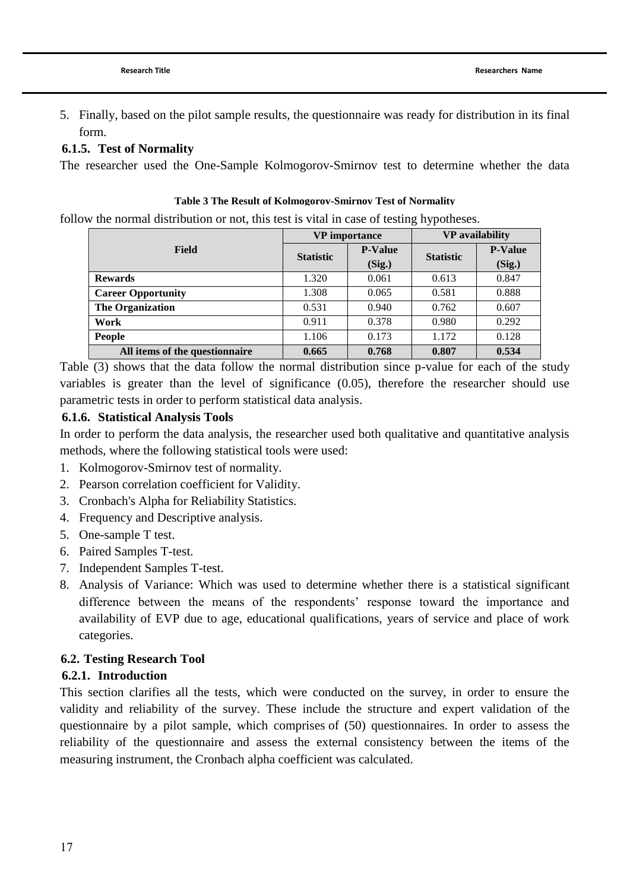## **6.1.5. Test of Normality**

The researcher used the One-Sample Kolmogorov-Smirnov test to determine whether the data

#### **Table 3 The Result of Kolmogorov-Smirnov Test of Normality**

follow the normal distribution or not, this test is vital in case of testing hypotheses.

|                                |                  | <b>VP</b> importance | <b>VP</b> availability |                |
|--------------------------------|------------------|----------------------|------------------------|----------------|
| Field                          | <b>Statistic</b> | <b>P-Value</b>       | <b>Statistic</b>       | <b>P-Value</b> |
|                                |                  | (Sig.)               |                        | (Sig.)         |
| <b>Rewards</b>                 | 1.320            | 0.061                | 0.613                  | 0.847          |
| <b>Career Opportunity</b>      | 1.308            | 0.065                | 0.581                  | 0.888          |
| <b>The Organization</b>        | 0.531            | 0.940                | 0.762                  | 0.607          |
| Work                           | 0.911            | 0.378                | 0.980                  | 0.292          |
| People                         | 1.106            | 0.173                | 1.172                  | 0.128          |
| All items of the questionnaire | 0.665            | 0.768                | 0.807                  | 0.534          |

Table (3) shows that the data follow the normal distribution since p-value for each of the study variables is greater than the level of significance (0.05), therefore the researcher should use parametric tests in order to perform statistical data analysis.

## **6.1.6. Statistical Analysis Tools**

In order to perform the data analysis, the researcher used both qualitative and quantitative analysis methods, where the following statistical tools were used:

- 1. Kolmogorov-Smirnov test of normality.
- 2. Pearson correlation coefficient for Validity.
- 3. Cronbach's Alpha for Reliability Statistics.
- 4. Frequency and Descriptive analysis.
- 5. One-sample T test.
- 6. Paired Samples T-test.
- 7. Independent Samples T-test.
- 8. Analysis of Variance: Which was used to determine whether there is a statistical significant difference between the means of the respondents' response toward the importance and availability of EVP due to age, educational qualifications, years of service and place of work categories.

## **6.2. Testing Research Tool**

## **6.2.1. Introduction**

This section clarifies all the tests, which were conducted on the survey, in order to ensure the validity and reliability of the survey. These include the structure and expert validation of the questionnaire by a pilot sample, which comprises of (50) questionnaires. In order to assess the reliability of the questionnaire and assess the external consistency between the items of the measuring instrument, the Cronbach alpha coefficient was calculated.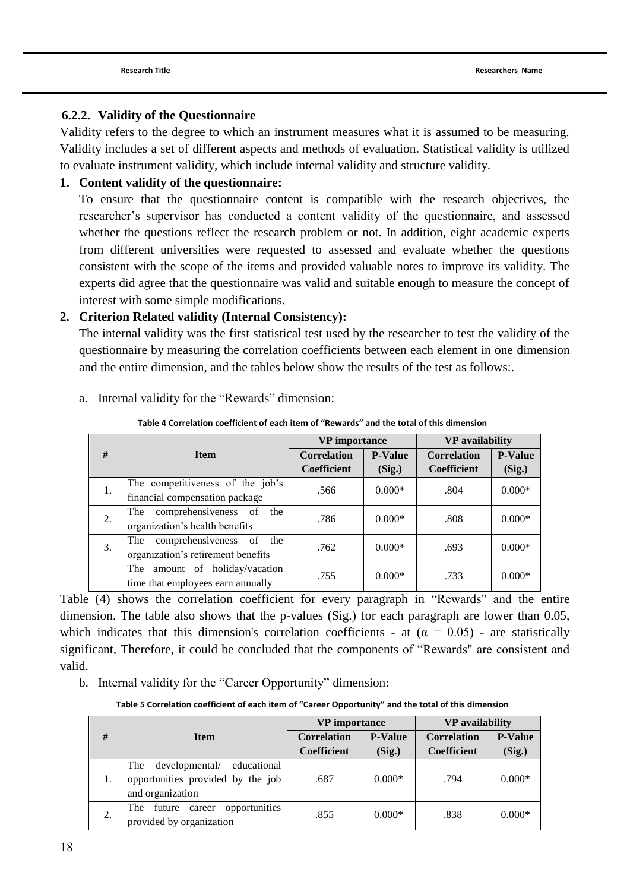## **6.2.2. Validity of the Questionnaire**

Validity refers to the degree to which an instrument measures what it is assumed to be measuring. Validity includes a set of different aspects and methods of evaluation. Statistical validity is utilized to evaluate instrument validity, which include internal validity and structure validity.

## **1. Content validity of the questionnaire:**

To ensure that the questionnaire content is compatible with the research objectives, the researcher"s supervisor has conducted a content validity of the questionnaire, and assessed whether the questions reflect the research problem or not. In addition, eight academic experts from different universities were requested to assessed and evaluate whether the questions consistent with the scope of the items and provided valuable notes to improve its validity. The experts did agree that the questionnaire was valid and suitable enough to measure the concept of interest with some simple modifications.

## **2. Criterion Related validity (Internal Consistency):**

The internal validity was the first statistical test used by the researcher to test the validity of the questionnaire by measuring the correlation coefficients between each element in one dimension and the entire dimension, and the tables below show the results of the test as follows:.

|    |                                    | <b>VP</b> importance |                | <b>VP</b> availability |                |
|----|------------------------------------|----------------------|----------------|------------------------|----------------|
| #  | <b>Item</b>                        | <b>Correlation</b>   | <b>P-Value</b> | <b>Correlation</b>     | <b>P-Value</b> |
|    |                                    | <b>Coefficient</b>   | (Sig.)         | <b>Coefficient</b>     | (Sig.)         |
| 1. | The competitiveness of the job's   | .566                 | $0.000*$       | .804                   | $0.000*$       |
|    | financial compensation package     |                      |                |                        |                |
|    | comprehensiveness of<br>The<br>the | .786                 | $0.000*$       | .808                   | $0.000*$       |
| 2. | organization's health benefits     |                      |                |                        |                |
| 3. | The comprehensiveness of<br>the    | .762                 | $0.000*$       | .693                   | $0.000*$       |
|    | organization's retirement benefits |                      |                |                        |                |
|    | amount of holiday/vacation<br>The  | .755                 | $0.000*$       | .733                   | $0.000*$       |
|    | time that employees earn annually  |                      |                |                        |                |

a. Internal validity for the "Rewards" dimension:

**Table 4 Correlation coefficient of each item of "Rewards" and the total of this dimension**

Table (4) shows the correlation coefficient for every paragraph in "Rewards" and the entire dimension. The table also shows that the p-values (Sig.) for each paragraph are lower than 0.05, which indicates that this dimension's correlation coefficients - at  $(\alpha = 0.05)$  - are statistically significant, Therefore, it could be concluded that the components of "Rewards" are consistent and valid.

b. Internal validity for the "Career Opportunity" dimension:

**Table 5 Correlation coefficient of each item of "Career Opportunity" and the total of this dimension**

|    |                                      | <b>VP</b> importance |                | <b>VP</b> availability |                |
|----|--------------------------------------|----------------------|----------------|------------------------|----------------|
| #  | <b>Item</b>                          | <b>Correlation</b>   | <b>P-Value</b> | <b>Correlation</b>     | <b>P-Value</b> |
|    |                                      | <b>Coefficient</b>   | (Sig.)         | Coefficient            | (Sig.)         |
|    | developmental/<br>educational<br>The |                      |                |                        |                |
| 1. | opportunities provided by the job    | .687                 | $0.000*$       | .794                   | $0.000*$       |
|    | and organization                     |                      |                |                        |                |
|    | opportunities<br>The future career   | .855                 | $0.000*$       | .838                   | $0.000*$       |
| 2. | provided by organization             |                      |                |                        |                |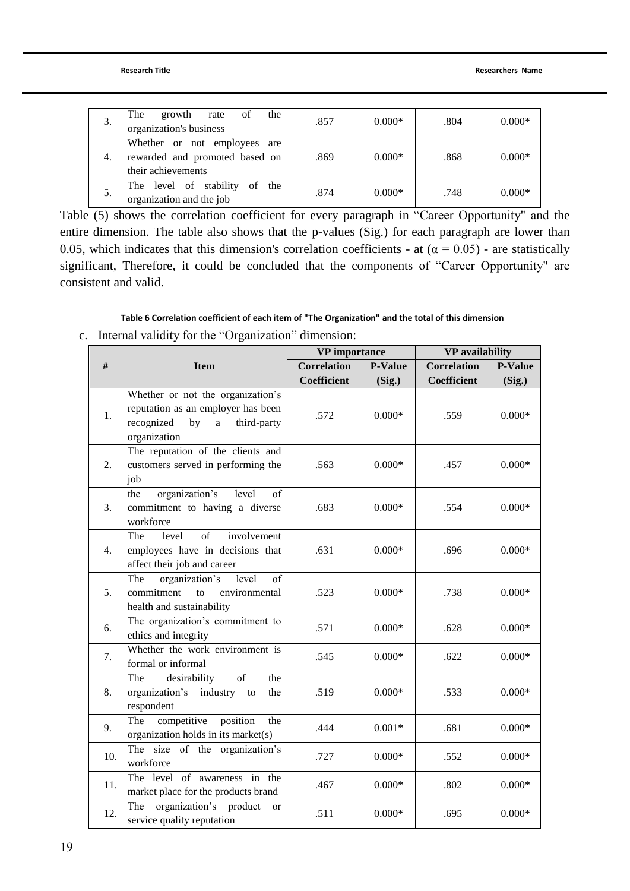| 3. | The<br>the<br>growth<br>of<br>rate<br>organization's business                        | .857 | $0.000*$ | .804 | $0.000*$ |
|----|--------------------------------------------------------------------------------------|------|----------|------|----------|
| 4. | Whether or not employees are<br>rewarded and promoted based on<br>their achievements | .869 | $0.000*$ | .868 | $0.000*$ |
| 5. | The level of stability<br>the<br>of<br>organization and the job                      | .874 | $0.000*$ | .748 | $0.000*$ |

Table (5) shows the correlation coefficient for every paragraph in "Career Opportunity" and the entire dimension. The table also shows that the p-values (Sig.) for each paragraph are lower than 0.05, which indicates that this dimension's correlation coefficients - at  $(\alpha = 0.05)$  - are statistically significant, Therefore, it could be concluded that the components of "Career Opportunity" are consistent and valid.

#### **Table 6 Correlation coefficient of each item of "The Organization" and the total of this dimension**

c. Internal validity for the "Organization" dimension:

|     |                                                                           | <b>VP</b> importance |                | <b>VP</b> availability |                |
|-----|---------------------------------------------------------------------------|----------------------|----------------|------------------------|----------------|
| #   | <b>Item</b>                                                               | <b>Correlation</b>   | <b>P-Value</b> | <b>Correlation</b>     | <b>P-Value</b> |
|     |                                                                           | <b>Coefficient</b>   | (Sig.)         | <b>Coefficient</b>     | (Sig.)         |
|     | Whether or not the organization's                                         |                      |                |                        |                |
| 1.  | reputation as an employer has been                                        | .572                 | $0.000*$       | .559                   | $0.000*$       |
|     | third-party<br>recognized<br>by<br>$\mathbf{a}$                           |                      |                |                        |                |
|     | organization<br>The reputation of the clients and                         |                      |                |                        |                |
| 2.  | customers served in performing the                                        | .563                 | $0.000*$       | .457                   | $0.000*$       |
|     | job                                                                       |                      |                |                        |                |
|     | organization's<br>the<br>level<br>of                                      |                      |                |                        |                |
| 3.  | commitment to having a diverse                                            | .683                 | $0.000*$       | .554                   | $0.000*$       |
|     | workforce                                                                 |                      |                |                        |                |
|     | The<br>$\sigma$ f<br>involvement<br>level                                 |                      |                |                        |                |
| 4.  | employees have in decisions that                                          | .631                 | $0.000*$       | .696                   | $0.000*$       |
|     | affect their job and career                                               |                      |                |                        |                |
|     | of<br>The<br>organization's<br>level                                      |                      |                |                        |                |
| 5.  | commitment<br>environmental<br>to<br>health and sustainability            | .523                 | $0.000*$       | .738                   | $0.000*$       |
|     | The organization's commitment to                                          |                      |                |                        |                |
| 6.  | ethics and integrity                                                      | .571                 | $0.000*$       | .628                   | $0.000*$       |
| 7.  | Whether the work environment is                                           | .545                 | $0.000*$       | .622                   | $0.000*$       |
|     | formal or informal                                                        |                      |                |                        |                |
|     | of<br>desirability<br>the<br>The                                          |                      |                |                        |                |
| 8.  | organization's<br>industry<br>the<br>to                                   | .519                 | $0.000*$       | .533                   | $0.000*$       |
|     | respondent                                                                |                      |                |                        |                |
| 9.  | competitive position<br>The<br>the<br>organization holds in its market(s) | .444                 | $0.001*$       | .681                   | $0.000*$       |
|     | The size of the organization's                                            |                      |                |                        |                |
| 10. | workforce                                                                 | .727                 | $0.000*$       | .552                   | $0.000*$       |
|     | The level of awareness in the                                             |                      |                |                        |                |
| 11. | market place for the products brand                                       | .467                 | $0.000*$       | .802                   | $0.000*$       |
| 12. | organization's product<br>The<br><sub>or</sub>                            | .511                 | $0.000*$       | .695                   | $0.000*$       |
|     | service quality reputation                                                |                      |                |                        |                |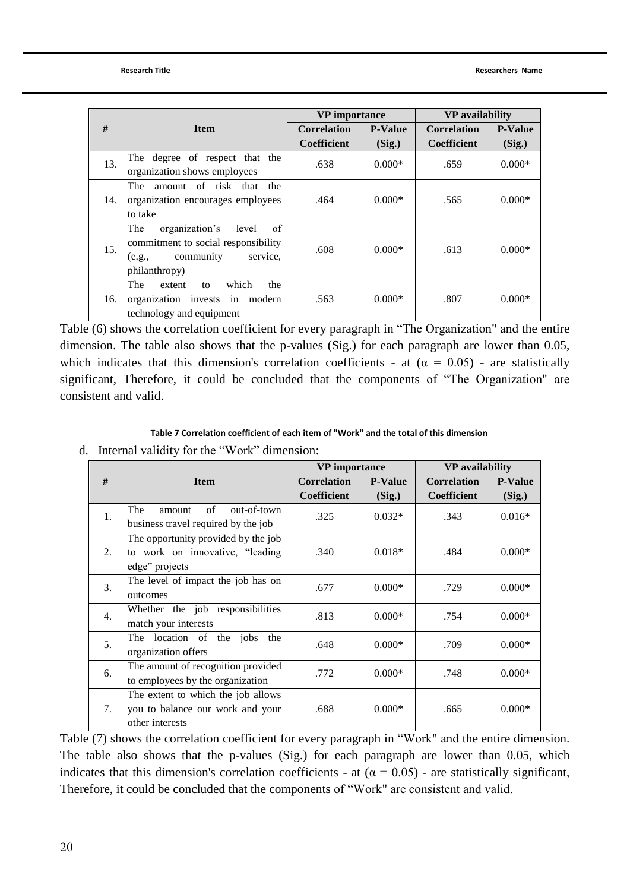|     |                                      | <b>VP</b> importance |                | <b>VP</b> availability |                |
|-----|--------------------------------------|----------------------|----------------|------------------------|----------------|
| #   | <b>Item</b>                          | <b>Correlation</b>   | <b>P-Value</b> | <b>Correlation</b>     | <b>P-Value</b> |
|     |                                      | <b>Coefficient</b>   | (Sig.)         | <b>Coefficient</b>     | (Sig.)         |
| 13. | The degree of respect that the       | .638                 | $0.000*$       | .659                   | $0.000*$       |
|     | organization shows employees         |                      |                |                        |                |
| 14. | amount of risk that<br>The<br>the    |                      |                |                        |                |
|     | organization encourages employees    | .464                 | $0.000*$       | .565                   | $0.000*$       |
|     | to take                              |                      |                |                        |                |
|     | of<br>The<br>organization's<br>level |                      |                |                        |                |
| 15. | commitment to social responsibility  | .608                 | $0.000*$       | .613                   | $0.000*$       |
|     | community<br>service.<br>(e.g.,      |                      |                |                        |                |
|     | philanthropy)                        |                      |                |                        |                |
|     | The<br>which<br>the<br>extent<br>to  |                      |                |                        |                |
| 16. | organization invests in modern       | .563                 | $0.000*$       | .807                   | $0.000*$       |
|     | technology and equipment             |                      |                |                        |                |

Table (6) shows the correlation coefficient for every paragraph in "The Organization" and the entire dimension. The table also shows that the p-values (Sig.) for each paragraph are lower than 0.05, which indicates that this dimension's correlation coefficients - at  $(\alpha = 0.05)$  - are statistically significant, Therefore, it could be concluded that the components of "The Organization" are consistent and valid.

#### **Table 7 Correlation coefficient of each item of "Work" and the total of this dimension**

|    |                                                                                           | <b>VP</b> importance |                | <b>VP</b> availability |                |
|----|-------------------------------------------------------------------------------------------|----------------------|----------------|------------------------|----------------|
| #  | <b>Item</b>                                                                               | <b>Correlation</b>   | <b>P-Value</b> | <b>Correlation</b>     | <b>P-Value</b> |
|    |                                                                                           | <b>Coefficient</b>   | (Sig.)         | <b>Coefficient</b>     | (Sig.)         |
| 1. | The<br>of<br>out-of-town<br>amount<br>business travel required by the job                 | .325                 | $0.032*$       | .343                   | $0.016*$       |
| 2. | The opportunity provided by the job<br>to work on innovative, "leading"<br>edge" projects | .340                 | $0.018*$       | .484                   | $0.000*$       |
| 3. | The level of impact the job has on<br>outcomes                                            | .677                 | $0.000*$       | .729                   | $0.000*$       |
| 4. | Whether the job responsibilities<br>match your interests                                  | .813                 | $0.000*$       | .754                   | $0.000*$       |
| 5. | The location of<br>the jobs<br>the<br>organization offers                                 | .648                 | $0.000*$       | .709                   | $0.000*$       |
| 6. | The amount of recognition provided<br>to employees by the organization                    | .772                 | $0.000*$       | .748                   | $0.000*$       |
| 7. | The extent to which the job allows<br>you to balance our work and your<br>other interests | .688                 | $0.000*$       | .665                   | $0.000*$       |

d. Internal validity for the "Work" dimension:

Table (7) shows the correlation coefficient for every paragraph in "Work" and the entire dimension. The table also shows that the p-values (Sig.) for each paragraph are lower than 0.05, which indicates that this dimension's correlation coefficients - at  $(\alpha = 0.05)$  - are statistically significant, Therefore, it could be concluded that the components of "Work" are consistent and valid.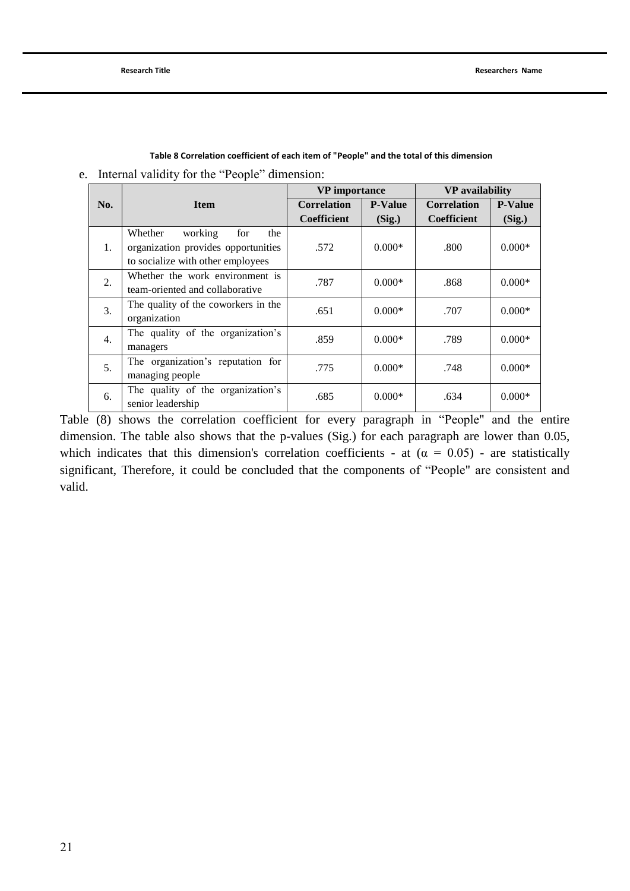|     |                                                                         | <b>VP</b> importance |                | <b>VP</b> availability |                |
|-----|-------------------------------------------------------------------------|----------------------|----------------|------------------------|----------------|
| No. | <b>Item</b>                                                             | <b>Correlation</b>   | <b>P-Value</b> | <b>Correlation</b>     | <b>P-Value</b> |
|     |                                                                         | <b>Coefficient</b>   | (Sig.)         | <b>Coefficient</b>     | (Sig.)         |
| 1.  | Whether<br>working<br>for<br>the<br>organization provides opportunities | .572                 | $0.000*$       | .800                   | $0.000*$       |
|     | to socialize with other employees                                       |                      |                |                        |                |
| 2.  | Whether the work environment is                                         | .787                 | $0.000*$       | .868                   | $0.000*$       |
|     | team-oriented and collaborative                                         |                      |                |                        |                |
| 3.  | The quality of the coworkers in the                                     | .651                 | $0.000*$       | .707                   | $0.000*$       |
|     | organization                                                            |                      |                |                        |                |
| 4.  | The quality of the organization's                                       | .859                 | $0.000*$       | .789                   | $0.000*$       |
|     | managers                                                                |                      |                |                        |                |
| 5.  | The organization's reputation for                                       | .775                 | $0.000*$       | .748                   | $0.000*$       |
|     | managing people                                                         |                      |                |                        |                |
| 6.  | The quality of the organization's                                       | .685                 | $0.000*$       |                        |                |
|     | senior leadership                                                       |                      |                | .634                   | $0.000*$       |

**Table 8 Correlation coefficient of each item of "People" and the total of this dimension**

e. Internal validity for the "People" dimension:

Table (8) shows the correlation coefficient for every paragraph in "People" and the entire dimension. The table also shows that the p-values (Sig.) for each paragraph are lower than 0.05, which indicates that this dimension's correlation coefficients - at  $(\alpha = 0.05)$  - are statistically significant, Therefore, it could be concluded that the components of "People" are consistent and valid.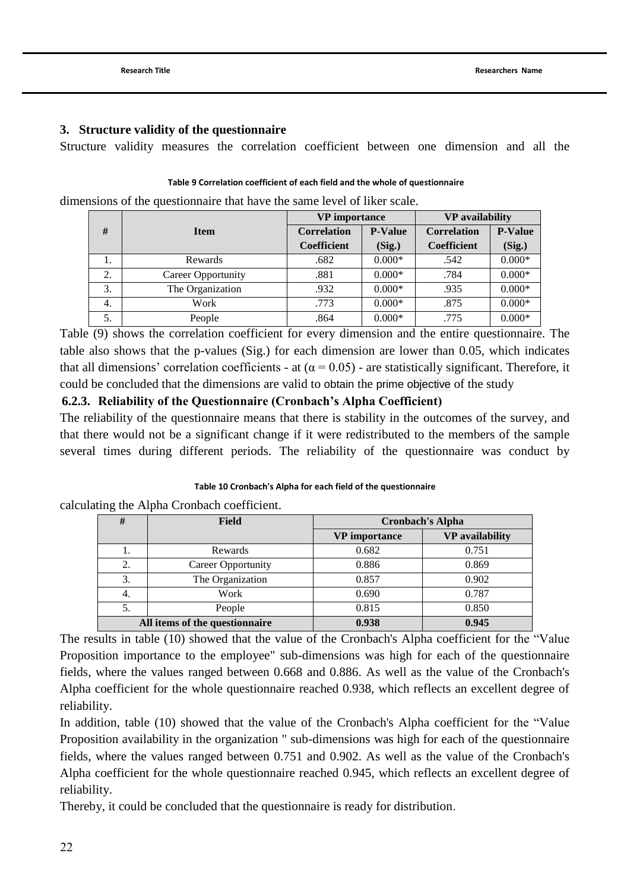### **3. Structure validity of the questionnaire**

Structure validity measures the correlation coefficient between one dimension and all the

#### **Table 9 Correlation coefficient of each field and the whole of questionnaire**

dimensions of the questionnaire that have the same level of liker scale.

|    |                    | <b>VP</b> importance |                | <b>VP</b> availability |                |  |
|----|--------------------|----------------------|----------------|------------------------|----------------|--|
| #  | <b>Item</b>        | <b>Correlation</b>   | <b>P-Value</b> | <b>Correlation</b>     | <b>P-Value</b> |  |
|    |                    | <b>Coefficient</b>   | (Sig.)         | <b>Coefficient</b>     | (Sig.)         |  |
| 1. | Rewards            | .682                 | $0.000*$       | .542                   | $0.000*$       |  |
| 2. | Career Opportunity | .881                 | $0.000*$       | .784                   | $0.000*$       |  |
| 3. | The Organization   | .932                 | $0.000*$       | .935                   | $0.000*$       |  |
| 4. | Work               | .773                 | $0.000*$       | .875                   | $0.000*$       |  |
| 5. | People             | .864                 | $0.000*$       | .775                   | $0.000*$       |  |

Table (9) shows the correlation coefficient for every dimension and the entire questionnaire. The table also shows that the p-values (Sig.) for each dimension are lower than 0.05, which indicates that all dimensions' correlation coefficients - at ( $\alpha$  = 0.05) - are statistically significant. Therefore, it could be concluded that the dimensions are valid to obtain the prime objective of the study

## **6.2.3. Reliability of the Questionnaire (Cronbach's Alpha Coefficient)**

The reliability of the questionnaire means that there is stability in the outcomes of the survey, and that there would not be a significant change if it were redistributed to the members of the sample several times during different periods. The reliability of the questionnaire was conduct by

#### **Table 10 Cronbach's Alpha for each field of the questionnaire**

calculating the Alpha Cronbach coefficient.

| #  | <b>Field</b>                   | <b>Cronbach's Alpha</b> |                        |  |
|----|--------------------------------|-------------------------|------------------------|--|
|    |                                | <b>VP</b> importance    | <b>VP</b> availability |  |
| 1. | Rewards                        | 0.682                   | 0.751                  |  |
| 2. | <b>Career Opportunity</b>      | 0.886                   | 0.869                  |  |
| 3. | The Organization               | 0.857                   | 0.902                  |  |
| 4. | Work                           | 0.690                   | 0.787                  |  |
| 5. | People                         | 0.815                   | 0.850                  |  |
|    | All items of the questionnaire | 0.938                   | 0.945                  |  |

The results in table (10) showed that the value of the Cronbach's Alpha coefficient for the "Value Proposition importance to the employee" sub-dimensions was high for each of the questionnaire fields, where the values ranged between 0.668 and 0.886. As well as the value of the Cronbach's Alpha coefficient for the whole questionnaire reached 0.938, which reflects an excellent degree of reliability.

In addition, table (10) showed that the value of the Cronbach's Alpha coefficient for the "Value Proposition availability in the organization " sub-dimensions was high for each of the questionnaire fields, where the values ranged between 0.751 and 0.902. As well as the value of the Cronbach's Alpha coefficient for the whole questionnaire reached 0.945, which reflects an excellent degree of reliability.

Thereby, it could be concluded that the questionnaire is ready for distribution.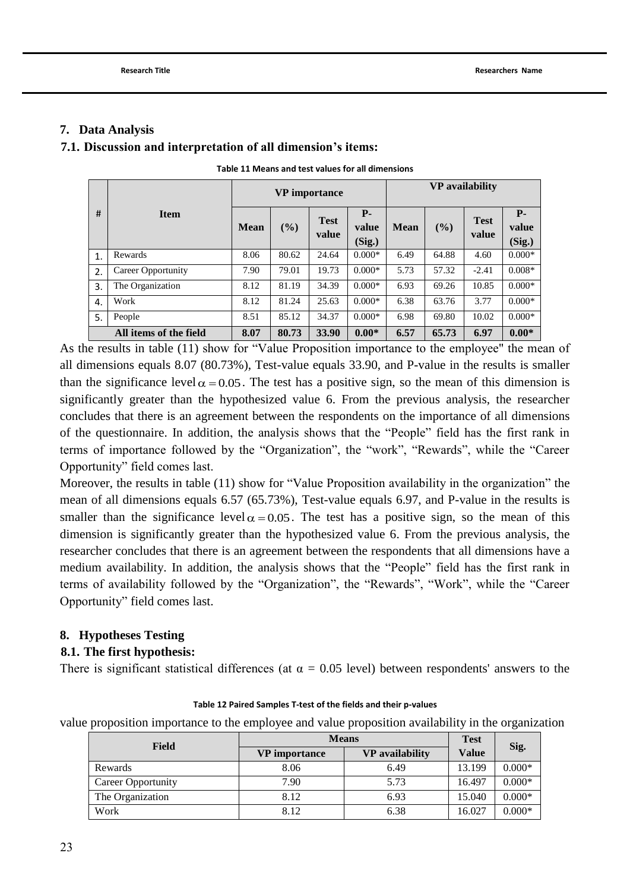### **7. Data Analysis**

### **7.1. Discussion and interpretation of all dimension's items:**

|    |                        | <b>VP</b> importance |       |                      |                          | <b>VP</b> availability |       |                      |                               |
|----|------------------------|----------------------|-------|----------------------|--------------------------|------------------------|-------|----------------------|-------------------------------|
| #  | <b>Item</b>            | <b>Mean</b>          | (%)   | <b>Test</b><br>value | $P -$<br>value<br>(Sig.) | <b>Mean</b>            | (%)   | <b>Test</b><br>value | <b>P</b> -<br>value<br>(Sig.) |
| 1. | Rewards                | 8.06                 | 80.62 | 24.64                | $0.000*$                 | 6.49                   | 64.88 | 4.60                 | $0.000*$                      |
| 2. | Career Opportunity     | 7.90                 | 79.01 | 19.73                | $0.000*$                 | 5.73                   | 57.32 | $-2.41$              | $0.008*$                      |
| 3. | The Organization       | 8.12                 | 81.19 | 34.39                | $0.000*$                 | 6.93                   | 69.26 | 10.85                | $0.000*$                      |
| 4. | Work                   | 8.12                 | 81.24 | 25.63                | $0.000*$                 | 6.38                   | 63.76 | 3.77                 | $0.000*$                      |
| 5. | People                 | 8.51                 | 85.12 | 34.37                | $0.000*$                 | 6.98                   | 69.80 | 10.02                | $0.000*$                      |
|    | All items of the field | 8.07                 | 80.73 | 33.90                | $0.00*$                  | 6.57                   | 65.73 | 6.97                 | $0.00*$                       |

**Table 11 Means and test values for all dimensions**

As the results in table (11) show for "Value Proposition importance to the employee" the mean of all dimensions equals 8.07 (80.73%), Test-value equals 33.90, and P-value in the results is smaller than the significance level  $\alpha = 0.05$ . The test has a positive sign, so the mean of this dimension is significantly greater than the hypothesized value 6. From the previous analysis, the researcher concludes that there is an agreement between the respondents on the importance of all dimensions of the questionnaire. In addition, the analysis shows that the "People" field has the first rank in terms of importance followed by the "Organization", the "work", "Rewards", while the "Career Opportunity" field comes last.

Moreover, the results in table (11) show for "Value Proposition availability in the organization" the mean of all dimensions equals 6.57 (65.73%), Test-value equals 6.97, and P-value in the results is smaller than the significance level  $\alpha = 0.05$ . The test has a positive sign, so the mean of this dimension is significantly greater than the hypothesized value 6. From the previous analysis, the researcher concludes that there is an agreement between the respondents that all dimensions have a medium availability. In addition, the analysis shows that the "People" field has the first rank in terms of availability followed by the "Organization", the "Rewards", "Work", while the "Career Opportunity" field comes last.

## **8. Hypotheses Testing**

## **8.1. The first hypothesis:**

There is significant statistical differences (at  $\alpha = 0.05$  level) between respondents' answers to the

#### **Table 12 Paired Samples T-test of the fields and their p-values**

value proposition importance to the employee and value proposition availability in the organization

| Field              | <b>Means</b>                                   | <b>Test</b> | Sig.         |          |  |
|--------------------|------------------------------------------------|-------------|--------------|----------|--|
|                    | <b>VP</b> availability<br><b>VP</b> importance |             | <b>Value</b> |          |  |
| Rewards            | 8.06                                           | 6.49        | 13.199       | $0.000*$ |  |
| Career Opportunity | 7.90                                           | 5.73        | 16.497       | $0.000*$ |  |
| The Organization   | 8.12                                           | 6.93        | 15.040       | $0.000*$ |  |
| Work               | 8.12                                           | 6.38        | 16.027       | $0.000*$ |  |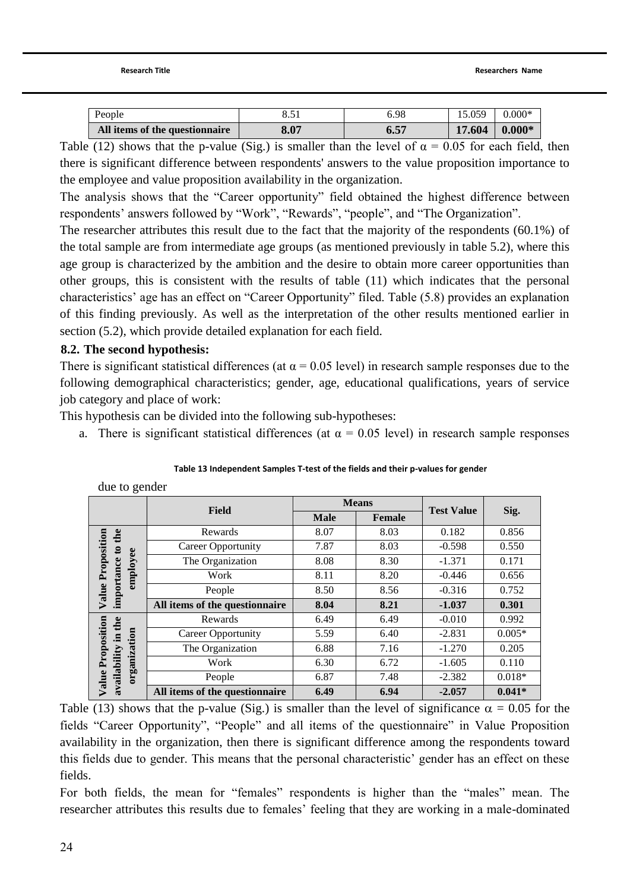| People                         |                      | 6.98 | 15.059               | $0.000*$ |
|--------------------------------|----------------------|------|----------------------|----------|
| All items of the questionnaire | 8.07                 | v.ə  | 1.604                | $0.000*$ |
| (4.8)                          | $\sim$ $\sim$ $\sim$ |      | $\cap$ $\cap$ $\cap$ |          |

Table (12) shows that the p-value (Sig.) is smaller than the level of  $\alpha = 0.05$  for each field, then there is significant difference between respondents' answers to the value proposition importance to the employee and value proposition availability in the organization.

The analysis shows that the "Career opportunity" field obtained the highest difference between respondents' answers followed by "Work", "Rewards", "people", and "The Organization".

The researcher attributes this result due to the fact that the majority of the respondents (60.1%) of the total sample are from intermediate age groups (as mentioned previously in table 5.2), where this age group is characterized by the ambition and the desire to obtain more career opportunities than other groups, this is consistent with the results of table (11) which indicates that the personal characteristics" age has an effect on "Career Opportunity" filed. Table (5.8) provides an explanation of this finding previously. As well as the interpretation of the other results mentioned earlier in section (5.2), which provide detailed explanation for each field.

## **8.2. The second hypothesis:**

due to gender

There is significant statistical differences (at  $\alpha$  = 0.05 level) in research sample responses due to the following demographical characteristics; gender, age, educational qualifications, years of service job category and place of work:

This hypothesis can be divided into the following sub-hypotheses:

a. There is significant statistical differences (at  $\alpha = 0.05$  level) in research sample responses

| $\cdots$ see                             |                                |             |              |                   |          |  |  |  |
|------------------------------------------|--------------------------------|-------------|--------------|-------------------|----------|--|--|--|
|                                          | <b>Field</b>                   |             | <b>Means</b> | <b>Test Value</b> |          |  |  |  |
|                                          |                                | <b>Male</b> | Female       |                   | Sig.     |  |  |  |
|                                          | Rewards                        | 8.07        | 8.03         | 0.182             | 0.856    |  |  |  |
| Value Proposition<br>importance to the   | <b>Career Opportunity</b>      | 7.87        | 8.03         | $-0.598$          | 0.550    |  |  |  |
|                                          | The Organization               | 8.08        | 8.30         | $-1.371$          | 0.171    |  |  |  |
| employee                                 | Work                           | 8.11        | 8.20         | $-0.446$          | 0.656    |  |  |  |
|                                          | People                         | 8.50        | 8.56         | $-0.316$          | 0.752    |  |  |  |
|                                          | All items of the questionnaire | 8.04        | 8.21         | $-1.037$          | 0.301    |  |  |  |
|                                          | Rewards                        | 6.49        | 6.49         | $-0.010$          | 0.992    |  |  |  |
|                                          | <b>Career Opportunity</b>      | 5.59        | 6.40         | $-2.831$          | $0.005*$ |  |  |  |
|                                          | The Organization               | 6.88        | 7.16         | $-1.270$          | 0.205    |  |  |  |
| organization                             | Work                           | 6.30        | 6.72         | $-1.605$          | 0.110    |  |  |  |
| Value Proposition<br>availability in the | People                         | 6.87        | 7.48         | $-2.382$          | $0.018*$ |  |  |  |
|                                          | All items of the questionnaire | 6.49        | 6.94         | $-2.057$          | $0.041*$ |  |  |  |

Table (13) shows that the p-value (Sig.) is smaller than the level of significance  $\alpha = 0.05$  for the fields "Career Opportunity", "People" and all items of the questionnaire" in Value Proposition availability in the organization, then there is significant difference among the respondents toward this fields due to gender. This means that the personal characteristic' gender has an effect on these fields.

For both fields, the mean for "females" respondents is higher than the "males" mean. The researcher attributes this results due to females' feeling that they are working in a male-dominated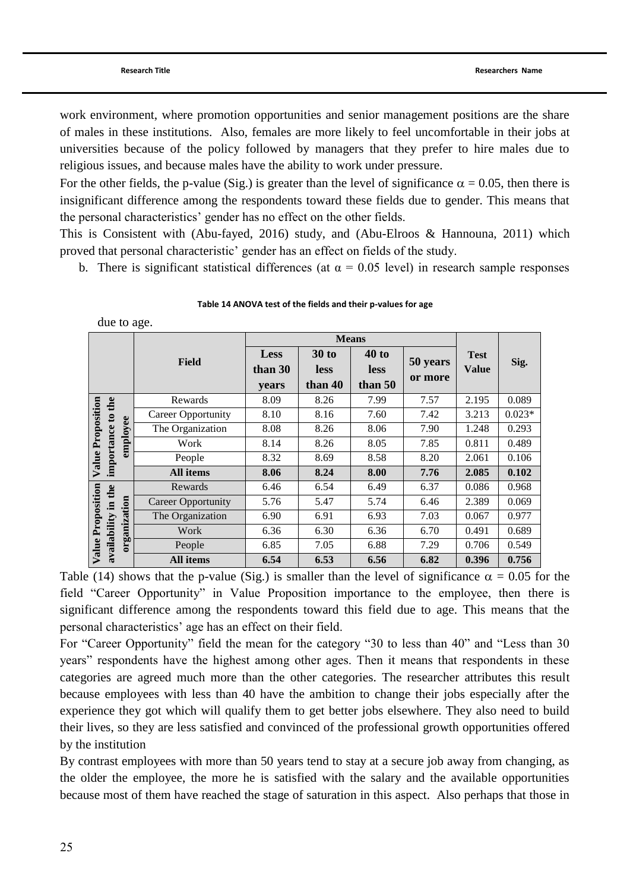due to age.

work environment, where promotion opportunities and senior management positions are the share of males in these institutions. Also, females are more likely to feel uncomfortable in their jobs at universities because of the policy followed by managers that they prefer to hire males due to religious issues, and because males have the ability to work under pressure.

For the other fields, the p-value (Sig.) is greater than the level of significance  $\alpha = 0.05$ , then there is insignificant difference among the respondents toward these fields due to gender. This means that the personal characteristics" gender has no effect on the other fields.

This is Consistent with [\(Abu-fayed, 2016\)](#page-30-12) study, and [\(Abu-Elroos & Hannouna, 2011\)](#page-30-14) which proved that personal characteristic" gender has an effect on fields of the study.

b. There is significant statistical differences (at  $\alpha = 0.05$  level) in research sample responses

|                   | uut to agt.  |                           |         |              |              |          |              |          |  |
|-------------------|--------------|---------------------------|---------|--------------|--------------|----------|--------------|----------|--|
|                   |              |                           |         |              | <b>Means</b> |          |              |          |  |
|                   |              |                           | Less    | <b>30 to</b> | $40$ to      |          | <b>Test</b>  |          |  |
|                   |              | <b>Field</b>              | than 30 | <b>less</b>  | <b>less</b>  | 50 years | <b>Value</b> | Sig.     |  |
|                   |              |                           | years   | than 40      | than 50      | or more  |              |          |  |
|                   | the          | Rewards                   | 8.09    | 8.26         | 7.99         | 7.57     | 2.195        | 0.089    |  |
|                   | $\mathbf{c}$ | <b>Career Opportunity</b> | 8.10    | 8.16         | 7.60         | 7.42     | 3.213        | $0.023*$ |  |
| Value Proposition | employee     | The Organization          | 8.08    | 8.26         | 8.06         | 7.90     | 1.248        | 0.293    |  |
|                   | importance   | Work                      | 8.14    | 8.26         | 8.05         | 7.85     | 0.811        | 0.489    |  |
|                   |              | People                    | 8.32    | 8.69         | 8.58         | 8.20     | 2.061        | 0.106    |  |
|                   |              | All items                 | 8.06    | 8.24         | 8.00         | 7.76     | 2.085        | 0.102    |  |
|                   |              | Rewards                   | 6.46    | 6.54         | 6.49         | 6.37     | 0.086        | 0.968    |  |
|                   | in the       | <b>Career Opportunity</b> | 5.76    | 5.47         | 5.74         | 6.46     | 2.389        | 0.069    |  |
| Value Proposition |              | The Organization          | 6.90    | 6.91         | 6.93         | 7.03     | 0.067        | 0.977    |  |
|                   | organization | Work                      | 6.36    | 6.30         | 6.36         | 6.70     | 0.491        | 0.689    |  |
|                   | availability | People                    | 6.85    | 7.05         | 6.88         | 7.29     | 0.706        | 0.549    |  |
|                   |              | All items                 | 6.54    | 6.53         | 6.56         | 6.82     | 0.396        | 0.756    |  |

| Table 14 ANOVA test of the fields and their p-values for age |  |  |  |
|--------------------------------------------------------------|--|--|--|
|--------------------------------------------------------------|--|--|--|

Table (14) shows that the p-value (Sig.) is smaller than the level of significance  $\alpha = 0.05$  for the field "Career Opportunity" in Value Proposition importance to the employee, then there is significant difference among the respondents toward this field due to age. This means that the personal characteristics" age has an effect on their field.

For "Career Opportunity" field the mean for the category "30 to less than 40" and "Less than 30 years" respondents have the highest among other ages. Then it means that respondents in these categories are agreed much more than the other categories. The researcher attributes this result because employees with less than 40 have the ambition to change their jobs especially after the experience they got which will qualify them to get better jobs elsewhere. They also need to build their lives, so they are less satisfied and convinced of the professional growth opportunities offered by the institution

By contrast employees with more than 50 years tend to stay at a secure job away from changing, as the older the employee, the more he is satisfied with the salary and the available opportunities because most of them have reached the stage of saturation in this aspect. Also perhaps that those in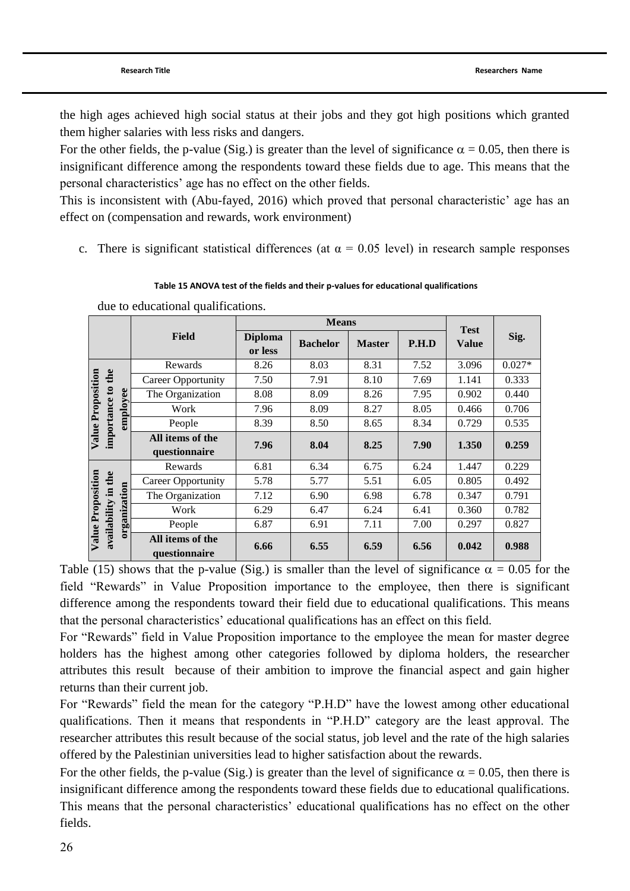the high ages achieved high social status at their jobs and they got high positions which granted them higher salaries with less risks and dangers.

For the other fields, the p-value (Sig.) is greater than the level of significance  $\alpha = 0.05$ , then there is insignificant difference among the respondents toward these fields due to age. This means that the personal characteristics" age has no effect on the other fields.

This is inconsistent with [\(Abu-fayed, 2016\)](#page-30-12) which proved that personal characteristic" age has an effect on (compensation and rewards, work environment)

c. There is significant statistical differences (at  $\alpha = 0.05$  level) in research sample responses

#### **Table 15 ANOVA test of the fields and their p-values for educational qualifications**

|                   |                     |                                   | <b>Means</b>              |                 |               | <b>Test</b> |              |          |
|-------------------|---------------------|-----------------------------------|---------------------------|-----------------|---------------|-------------|--------------|----------|
|                   |                     | <b>Field</b>                      | <b>Diploma</b><br>or less | <b>Bachelor</b> | <b>Master</b> | P.H.D       | <b>Value</b> | Sig.     |
|                   |                     | Rewards                           | 8.26                      | 8.03            | 8.31          | 7.52        | 3.096        | $0.027*$ |
|                   |                     | <b>Career Opportunity</b>         | 7.50                      | 7.91            | 8.10          | 7.69        | 1.141        | 0.333    |
|                   |                     | The Organization                  | 8.08                      | 8.09            | 8.26          | 7.95        | 0.902        | 0.440    |
| Value Proposition | employee            | Work                              | 7.96                      | 8.09            | 8.27          | 8.05        | 0.466        | 0.706    |
|                   | importance to the   | People                            | 8.39                      | 8.50            | 8.65          | 8.34        | 0.729        | 0.535    |
|                   |                     | All items of the                  | 7.96                      | 8.04            | 8.25          | 7.90        | 1.350        | 0.259    |
|                   |                     | questionnaire                     |                           |                 |               |             |              |          |
|                   |                     | Rewards                           | 6.81                      | 6.34            | 6.75          | 6.24        | 1.447        | 0.229    |
|                   |                     | <b>Career Opportunity</b>         | 5.78                      | 5.77            | 5.51          | 6.05        | 0.805        | 0.492    |
|                   |                     | The Organization                  | 7.12                      | 6.90            | 6.98          | 6.78        | 0.347        | 0.791    |
|                   |                     | Work                              | 6.29                      | 6.47            | 6.24          | 6.41        | 0.360        | 0.782    |
|                   | organization        | People                            | 6.87                      | 6.91            | 7.11          | 7.00        | 0.297        | 0.827    |
| Value Proposition | availability in the | All items of the<br>questionnaire | 6.66                      | 6.55            | 6.59          | 6.56        | 0.042        | 0.988    |

due to educational qualifications.

Table (15) shows that the p-value (Sig.) is smaller than the level of significance  $\alpha = 0.05$  for the field "Rewards" in Value Proposition importance to the employee, then there is significant difference among the respondents toward their field due to educational qualifications. This means that the personal characteristics" educational qualifications has an effect on this field.

For "Rewards" field in Value Proposition importance to the employee the mean for master degree holders has the highest among other categories followed by diploma holders, the researcher attributes this result because of their ambition to improve the financial aspect and gain higher returns than their current job.

For "Rewards" field the mean for the category "P.H.D" have the lowest among other educational qualifications. Then it means that respondents in "P.H.D" category are the least approval. The researcher attributes this result because of the social status, job level and the rate of the high salaries offered by the Palestinian universities lead to higher satisfaction about the rewards.

For the other fields, the p-value (Sig.) is greater than the level of significance  $\alpha = 0.05$ , then there is insignificant difference among the respondents toward these fields due to educational qualifications. This means that the personal characteristics' educational qualifications has no effect on the other fields.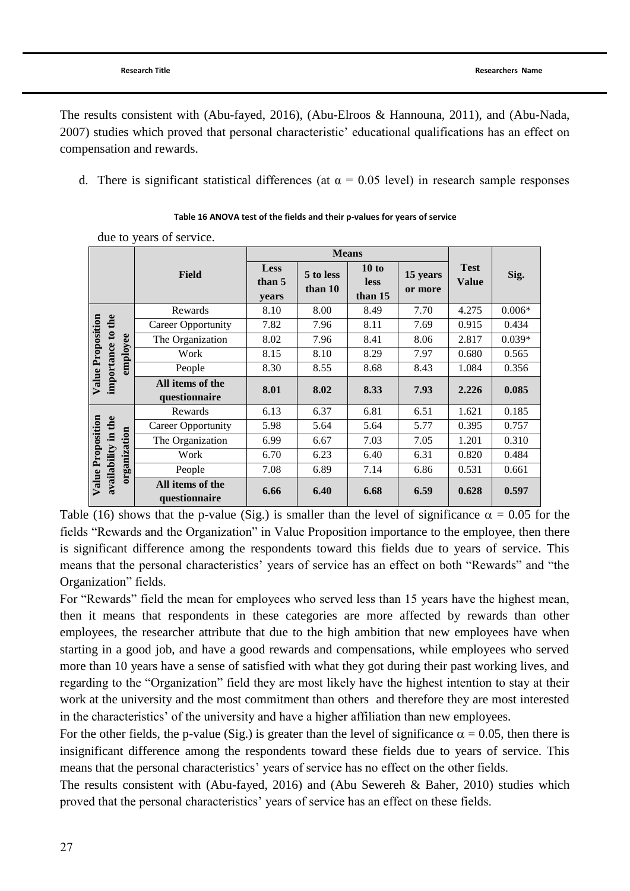The results consistent with [\(Abu-fayed, 2016\)](#page-30-12), [\(Abu-Elroos & Hannouna, 2011\)](#page-30-14), and [\(Abu-Nada,](#page-30-15)  [2007\)](#page-30-15) studies which proved that personal characteristic" educational qualifications has an effect on compensation and rewards.

d. There is significant statistical differences (at  $\alpha = 0.05$  level) in research sample responses

|                                          |                                   |                                | <b>Means</b>         |                                 |                     |                             |          |
|------------------------------------------|-----------------------------------|--------------------------------|----------------------|---------------------------------|---------------------|-----------------------------|----------|
|                                          | <b>Field</b>                      | <b>Less</b><br>than 5<br>years | 5 to less<br>than 10 | 10 to<br><b>less</b><br>than 15 | 15 years<br>or more | <b>Test</b><br><b>Value</b> | Sig.     |
|                                          | Rewards                           | 8.10                           | 8.00                 | 8.49                            | 7.70                | 4.275                       | $0.006*$ |
|                                          | <b>Career Opportunity</b>         | 7.82                           | 7.96                 | 8.11                            | 7.69                | 0.915                       | 0.434    |
|                                          | The Organization                  | 8.02                           | 7.96                 | 8.41                            | 8.06                | 2.817                       | $0.039*$ |
|                                          | employee<br>Work                  | 8.15                           | 8.10                 | 8.29                            | 7.97                | 0.680                       | 0.565    |
|                                          | People                            | 8.30                           | 8.55                 | 8.68                            | 8.43                | 1.084                       | 0.356    |
| Value Proposition<br>importance to the   | All items of the<br>questionnaire | 8.01                           | 8.02                 | 8.33                            | 7.93                | 2.226                       | 0.085    |
|                                          | Rewards                           | 6.13                           | 6.37                 | 6.81                            | 6.51                | 1.621                       | 0.185    |
|                                          | <b>Career Opportunity</b>         | 5.98                           | 5.64                 | 5.64                            | 5.77                | 0.395                       | 0.757    |
|                                          | The Organization                  | 6.99                           | 6.67                 | 7.03                            | 7.05                | 1.201                       | 0.310    |
|                                          | Work                              | 6.70                           | 6.23                 | 6.40                            | 6.31                | 0.820                       | 0.484    |
|                                          | organization<br>People            | 7.08                           | 6.89                 | 7.14                            | 6.86                | 0.531                       | 0.661    |
| Value Proposition<br>availability in the | All items of the<br>questionnaire | 6.66                           | 6.40                 | 6.68                            | 6.59                | 0.628                       | 0.597    |

#### **Table 16 ANOVA test of the fields and their p-values for years of service**

due to years of service.

Table (16) shows that the p-value (Sig.) is smaller than the level of significance  $\alpha = 0.05$  for the fields "Rewards and the Organization" in Value Proposition importance to the employee, then there is significant difference among the respondents toward this fields due to years of service. This means that the personal characteristics' years of service has an effect on both "Rewards" and "the Organization" fields.

For "Rewards" field the mean for employees who served less than 15 years have the highest mean, then it means that respondents in these categories are more affected by rewards than other employees, the researcher attribute that due to the high ambition that new employees have when starting in a good job, and have a good rewards and compensations, while employees who served more than 10 years have a sense of satisfied with what they got during their past working lives, and regarding to the "Organization" field they are most likely have the highest intention to stay at their work at the university and the most commitment than others and therefore they are most interested in the characteristics" of the university and have a higher affiliation than new employees.

For the other fields, the p-value (Sig.) is greater than the level of significance  $\alpha = 0.05$ , then there is insignificant difference among the respondents toward these fields due to years of service. This means that the personal characteristics' years of service has no effect on the other fields.

The results consistent with [\(Abu-fayed, 2016\)](#page-30-12) and [\(Abu Sewereh & Baher, 2010\)](#page-30-16) studies which proved that the personal characteristics" years of service has an effect on these fields.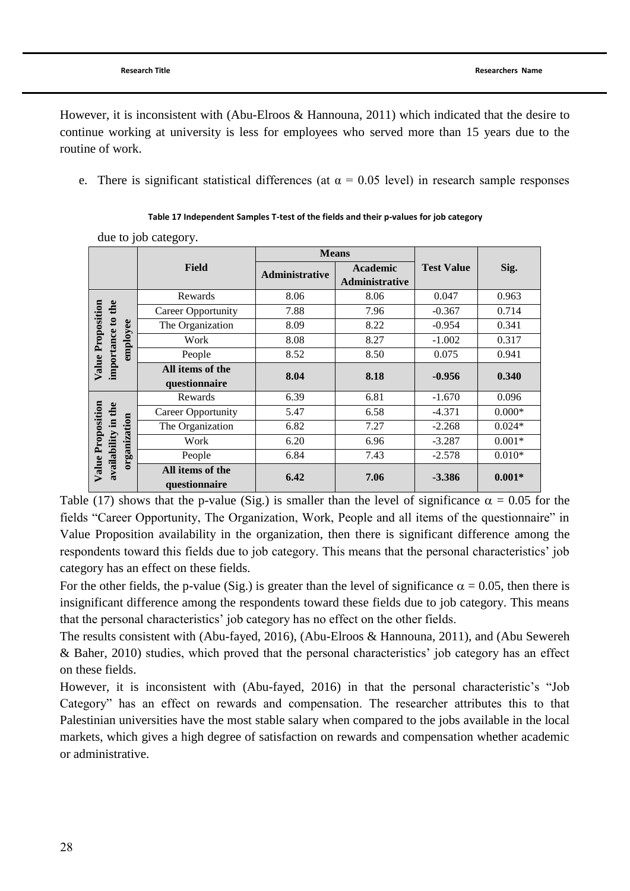due to job category.

However, it is inconsistent with [\(Abu-Elroos & Hannouna, 2011\)](#page-30-14) which indicated that the desire to continue working at university is less for employees who served more than 15 years due to the routine of work.

e. There is significant statistical differences (at  $\alpha = 0.05$  level) in research sample responses

|                                   |                                   | <b>Means</b>   |                                   |                   |          |
|-----------------------------------|-----------------------------------|----------------|-----------------------------------|-------------------|----------|
|                                   | <b>Field</b>                      | Administrative | <b>Academic</b><br>Administrative | <b>Test Value</b> | Sig.     |
|                                   | Rewards                           | 8.06           | 8.06                              | 0.047             | 0.963    |
| to the                            | <b>Career Opportunity</b>         | 7.88           | 7.96                              | $-0.367$          | 0.714    |
|                                   | The Organization                  | 8.09           | 8.22                              | $-0.954$          | 0.341    |
| employee                          | Work                              | 8.08           | 8.27                              | $-1.002$          | 0.317    |
|                                   | People                            | 8.52           | 8.50                              | 0.075             | 0.941    |
| Value Proposition<br>importance   | All items of the<br>questionnaire | 8.04           | 8.18                              | $-0.956$          | 0.340    |
|                                   | Rewards                           | 6.39           | 6.81                              | $-1.670$          | 0.096    |
| in the                            | <b>Career Opportunity</b>         | 5.47           | 6.58                              | $-4.371$          | $0.000*$ |
|                                   | The Organization                  | 6.82           | 7.27                              | $-2.268$          | $0.024*$ |
|                                   | Work                              | 6.20           | 6.96                              | $-3.287$          | $0.001*$ |
| organization                      | People                            | 6.84           | 7.43                              | $-2.578$          | $0.010*$ |
| Value Proposition<br>availability | All items of the<br>questionnaire | 6.42           | 7.06                              | $-3.386$          | $0.001*$ |

#### **Table 17 Independent Samples T-test of the fields and their p-values for job category**

Table (17) shows that the p-value (Sig.) is smaller than the level of significance  $\alpha = 0.05$  for the fields "Career Opportunity, The Organization, Work, People and all items of the questionnaire" in Value Proposition availability in the organization, then there is significant difference among the respondents toward this fields due to job category. This means that the personal characteristics" job category has an effect on these fields.

For the other fields, the p-value (Sig.) is greater than the level of significance  $\alpha = 0.05$ , then there is insignificant difference among the respondents toward these fields due to job category. This means that the personal characteristics" job category has no effect on the other fields.

The results consistent with [\(Abu-fayed, 2016\)](#page-30-12), [\(Abu-Elroos & Hannouna, 2011\)](#page-30-14), and [\(Abu Sewereh](#page-30-16)  [& Baher, 2010\)](#page-30-16) studies, which proved that the personal characteristics" job category has an effect on these fields.

However, it is inconsistent with [\(Abu-fayed, 2016\)](#page-30-12) in that the personal characteristic's "Job Category" has an effect on rewards and compensation. The researcher attributes this to that Palestinian universities have the most stable salary when compared to the jobs available in the local markets, which gives a high degree of satisfaction on rewards and compensation whether academic or administrative.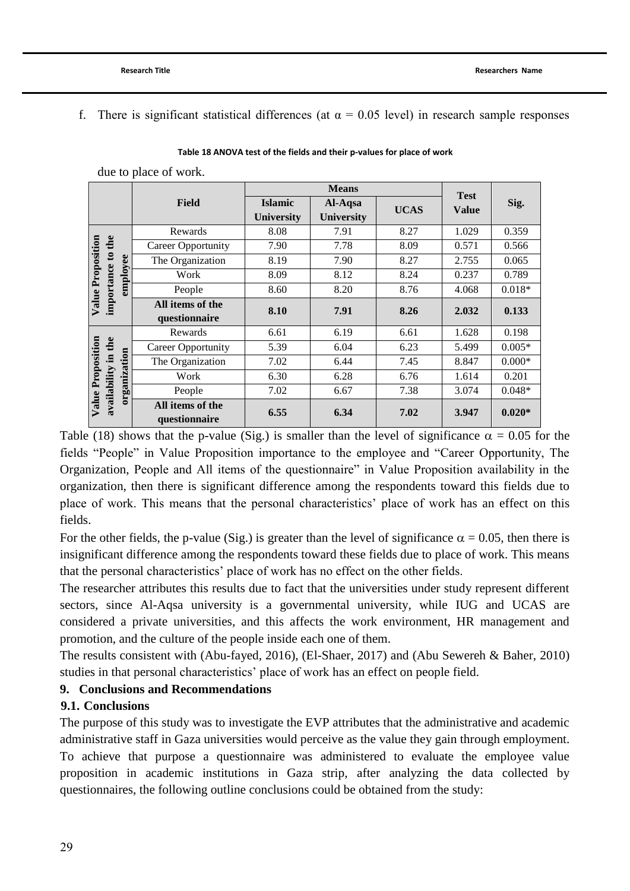f. There is significant statistical differences (at  $\alpha = 0.05$  level) in research sample responses

|                   |                     |              | <b>Field</b>                      | <b>Means</b>                        |                              |             |                             |          |
|-------------------|---------------------|--------------|-----------------------------------|-------------------------------------|------------------------------|-------------|-----------------------------|----------|
|                   |                     |              |                                   | <b>Islamic</b><br><b>University</b> | Al-Aqsa<br><b>University</b> | <b>UCAS</b> | <b>Test</b><br><b>Value</b> | Sig.     |
| Value Proposition |                     |              | Rewards                           | 8.08                                | 7.91                         | 8.27        | 1.029                       | 0.359    |
|                   | to the              | employee     | <b>Career Opportunity</b>         | 7.90                                | 7.78                         | 8.09        | 0.571                       | 0.566    |
|                   |                     |              | The Organization                  | 8.19                                | 7.90                         | 8.27        | 2.755                       | 0.065    |
|                   |                     |              | Work                              | 8.09                                | 8.12                         | 8.24        | 0.237                       | 0.789    |
|                   |                     |              | People                            | 8.60                                | 8.20                         | 8.76        | 4.068                       | $0.018*$ |
|                   | importance          |              | All items of the<br>questionnaire | 8.10                                | 7.91                         | 8.26        | 2.032                       | 0.133    |
| Value Proposition |                     | organization | Rewards                           | 6.61                                | 6.19                         | 6.61        | 1.628                       | 0.198    |
|                   |                     |              | <b>Career Opportunity</b>         | 5.39                                | 6.04                         | 6.23        | 5.499                       | $0.005*$ |
|                   |                     |              | The Organization                  | 7.02                                | 6.44                         | 7.45        | 8.847                       | $0.000*$ |
|                   |                     |              | Work                              | 6.30                                | 6.28                         | 6.76        | 1.614                       | 0.201    |
|                   |                     |              | People                            | 7.02                                | 6.67                         | 7.38        | 3.074                       | $0.048*$ |
|                   | availability in the |              | All items of the<br>questionnaire | 6.55                                | 6.34                         | 7.02        | 3.947                       | $0.020*$ |

**Table 18 ANOVA test of the fields and their p-values for place of work**

due to place of work.

Table (18) shows that the p-value (Sig.) is smaller than the level of significance  $\alpha = 0.05$  for the fields "People" in Value Proposition importance to the employee and "Career Opportunity, The Organization, People and All items of the questionnaire" in Value Proposition availability in the organization, then there is significant difference among the respondents toward this fields due to place of work. This means that the personal characteristics" place of work has an effect on this fields.

For the other fields, the p-value (Sig.) is greater than the level of significance  $\alpha = 0.05$ , then there is insignificant difference among the respondents toward these fields due to place of work. This means that the personal characteristics" place of work has no effect on the other fields.

The researcher attributes this results due to fact that the universities under study represent different sectors, since Al-Aqsa university is a governmental university, while IUG and UCAS are considered a private universities, and this affects the work environment, HR management and promotion, and the culture of the people inside each one of them.

The results consistent with [\(Abu-fayed, 2016\)](#page-30-12), [\(El-Shaer, 2017\)](#page-30-17) and [\(Abu Sewereh & Baher, 2010\)](#page-30-16) studies in that personal characteristics" place of work has an effect on people field.

## **9. Conclusions and Recommendations**

#### **9.1. Conclusions**

The purpose of this study was to investigate the EVP attributes that the administrative and academic administrative staff in Gaza universities would perceive as the value they gain through employment. To achieve that purpose a questionnaire was administered to evaluate the employee value proposition in academic institutions in Gaza strip, after analyzing the data collected by questionnaires, the following outline conclusions could be obtained from the study: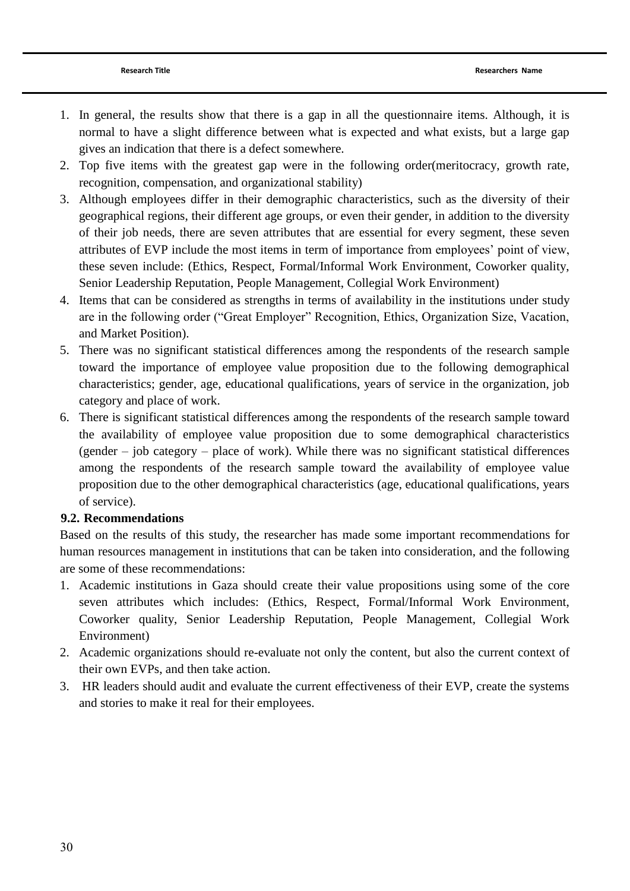- 1. In general, the results show that there is a gap in all the questionnaire items. Although, it is normal to have a slight difference between what is expected and what exists, but a large gap gives an indication that there is a defect somewhere.
- 2. Top five items with the greatest gap were in the following order(meritocracy, growth rate, recognition, compensation, and organizational stability)
- 3. Although employees differ in their demographic characteristics, such as the diversity of their geographical regions, their different age groups, or even their gender, in addition to the diversity of their job needs, there are seven attributes that are essential for every segment, these seven attributes of EVP include the most items in term of importance from employees" point of view, these seven include: (Ethics, Respect, Formal/Informal Work Environment, Coworker quality, Senior Leadership Reputation, People Management, Collegial Work Environment)
- 4. Items that can be considered as strengths in terms of availability in the institutions under study are in the following order ("Great Employer" Recognition, Ethics, Organization Size, Vacation, and Market Position).
- 5. There was no significant statistical differences among the respondents of the research sample toward the importance of employee value proposition due to the following demographical characteristics; gender, age, educational qualifications, years of service in the organization, job category and place of work.
- 6. There is significant statistical differences among the respondents of the research sample toward the availability of employee value proposition due to some demographical characteristics (gender – job category – place of work). While there was no significant statistical differences among the respondents of the research sample toward the availability of employee value proposition due to the other demographical characteristics (age, educational qualifications, years of service).

## **9.2. Recommendations**

Based on the results of this study, the researcher has made some important recommendations for human resources management in institutions that can be taken into consideration, and the following are some of these recommendations:

- 1. Academic institutions in Gaza should create their value propositions using some of the core seven attributes which includes: (Ethics, Respect, Formal/Informal Work Environment, Coworker quality, Senior Leadership Reputation, People Management, Collegial Work Environment)
- 2. Academic organizations should re-evaluate not only the content, but also the current context of their own EVPs, and then take action.
- 3. HR leaders should audit and evaluate the current effectiveness of their EVP, create the systems and stories to make it real for their employees.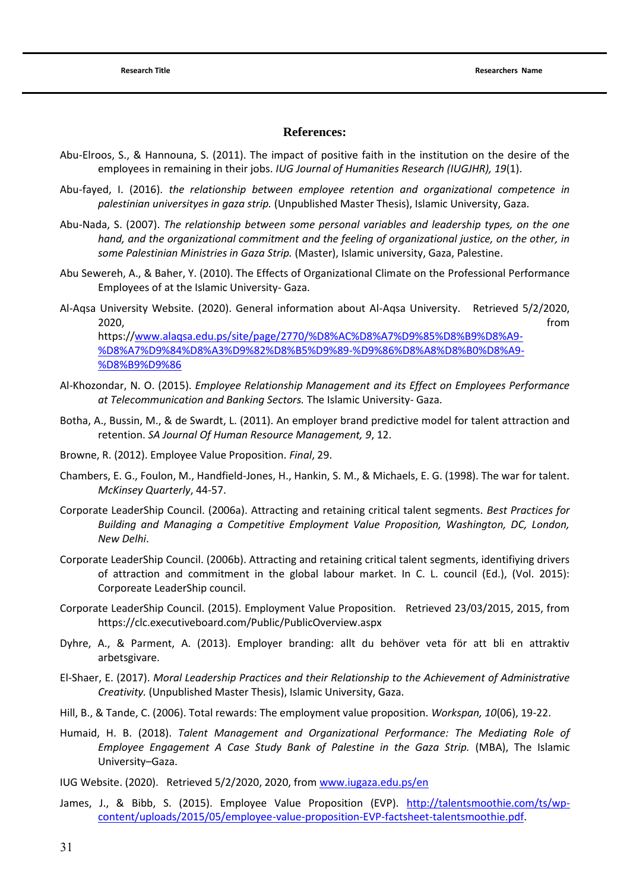#### **References:**

- <span id="page-30-14"></span>Abu-Elroos, S., & Hannouna, S. (2011). The impact of positive faith in the institution on the desire of the employees in remaining in their jobs. *IUG Journal of Humanities Research (IUGJHR), 19*(1).
- <span id="page-30-12"></span>Abu-fayed, I. (2016). *the relationship between employee retention and organizational competence in palestinian universityes in gaza strip.* (Unpublished Master Thesis), Islamic University, Gaza.
- <span id="page-30-15"></span>Abu-Nada, S. (2007). *The relationship between some personal variables and leadership types, on the one hand, and the organizational commitment and the feeling of organizational justice, on the other, in some Palestinian Ministries in Gaza Strip.* (Master), Islamic university, Gaza, Palestine.
- <span id="page-30-16"></span>Abu Sewereh, A., & Baher, Y. (2010). The Effects of Organizational Climate on the Professional Performance Employees of at the Islamic University- Gaza.
- <span id="page-30-10"></span>Al-Aqsa University Website. (2020). General information about Al-Aqsa University. Retrieved 5/2/2020, 2020, from https:/[/www.alaqsa.edu.ps/site/page/2770/%D8%AC%D8%A7%D9%85%D8%B9%D8%A9-](http://www.alaqsa.edu.ps/site/page/2770/%D8%AC%D8%A7%D9%85%D8%B9%D8%A9-%D8%A7%D9%84%D8%A3%D9%82%D8%B5%D9%89-%D9%86%D8%A8%D8%B0%D8%A9-%D8%B9%D9%86) [%D8%A7%D9%84%D8%A3%D9%82%D8%B5%D9%89-%D9%86%D8%A8%D8%B0%D8%A9-](http://www.alaqsa.edu.ps/site/page/2770/%D8%AC%D8%A7%D9%85%D8%B9%D8%A9-%D8%A7%D9%84%D8%A3%D9%82%D8%B5%D9%89-%D9%86%D8%A8%D8%B0%D8%A9-%D8%B9%D9%86) [%D8%B9%D9%86](http://www.alaqsa.edu.ps/site/page/2770/%D8%AC%D8%A7%D9%85%D8%B9%D8%A9-%D8%A7%D9%84%D8%A3%D9%82%D8%B5%D9%89-%D9%86%D8%A8%D8%B0%D8%A9-%D8%B9%D9%86)
- <span id="page-30-13"></span>Al-Khozondar, N. O. (2015). *Employee Relationship Management and its Effect on Employees Performance at Telecommunication and Banking Sectors.* The Islamic University- Gaza.
- <span id="page-30-4"></span>Botha, A., Bussin, M., & de Swardt, L. (2011). An employer brand predictive model for talent attraction and retention. *SA Journal Of Human Resource Management, 9*, 12.
- <span id="page-30-1"></span>Browne, R. (2012). Employee Value Proposition. *Final*, 29.
- <span id="page-30-7"></span>Chambers, E. G., Foulon, M., Handfield-Jones, H., Hankin, S. M., & Michaels, E. G. (1998). The war for talent. *McKinsey Quarterly*, 44-57.
- <span id="page-30-5"></span>Corporate LeaderShip Council. (2006a). Attracting and retaining critical talent segments. *Best Practices for Building and Managing a Competitive Employment Value Proposition, Washington, DC, London, New Delhi*.
- <span id="page-30-6"></span>Corporate LeaderShip Council. (2006b). Attracting and retaining critical talent segments, identifiying drivers of attraction and commitment in the global labour market. In C. L. council (Ed.), (Vol. 2015): Corporeate LeaderShip council.
- <span id="page-30-0"></span>Corporate LeaderShip Council. (2015). Employment Value Proposition. Retrieved 23/03/2015, 2015, from https://clc.executiveboard.com/Public/PublicOverview.aspx
- <span id="page-30-3"></span>Dyhre, A., & Parment, A. (2013). Employer branding: allt du behöver veta för att bli en attraktiv arbetsgivare.
- <span id="page-30-17"></span>El-Shaer, E. (2017). *Moral Leadership Practices and their Relationship to the Achievement of Administrative Creativity.* (Unpublished Master Thesis), Islamic University, Gaza.
- <span id="page-30-2"></span>Hill, B., & Tande, C. (2006). Total rewards: The employment value proposition. *Workspan, 10*(06), 19-22.
- <span id="page-30-11"></span>Humaid, H. B. (2018). *Talent Management and Organizational Performance: The Mediating Role of Employee Engagement A Case Study Bank of Palestine in the Gaza Strip.* (MBA), The Islamic University–Gaza.

<span id="page-30-9"></span>IUG Website. (2020). Retrieved 5/2/2020, 2020, from [www.iugaza.edu.ps/en](http://www.iugaza.edu.ps/en)

<span id="page-30-8"></span>James, J., & Bibb, S. (2015). Employee Value Proposition (EVP). [http://talentsmoothie.com/ts/wp](http://talentsmoothie.com/ts/wp-content/uploads/2015/05/employee-value-proposition-EVP-factsheet-talentsmoothie.pdf)[content/uploads/2015/05/employee-value-proposition-EVP-factsheet-talentsmoothie.pdf.](http://talentsmoothie.com/ts/wp-content/uploads/2015/05/employee-value-proposition-EVP-factsheet-talentsmoothie.pdf)